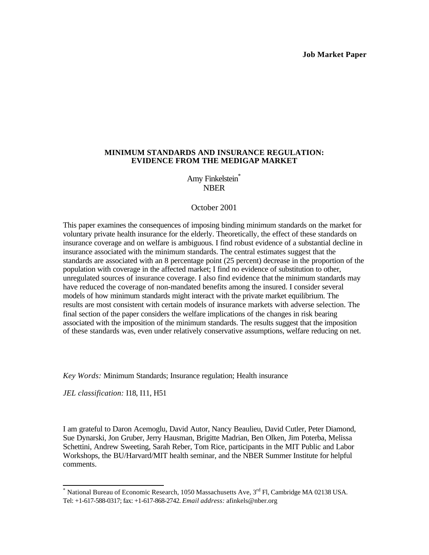#### **Job Market Paper**

# **MINIMUM STANDARDS AND INSURANCE REGULATION: EVIDENCE FROM THE MEDIGAP MARKET**

Amy Finkelstein<sup>\*</sup> NBER

#### October 2001

This paper examines the consequences of imposing binding minimum standards on the market for voluntary private health insurance for the elderly. Theoretically, the effect of these standards on insurance coverage and on welfare is ambiguous. I find robust evidence of a substantial decline in insurance associated with the minimum standards. The central estimates suggest that the standards are associated with an 8 percentage point (25 percent) decrease in the proportion of the population with coverage in the affected market; I find no evidence of substitution to other, unregulated sources of insurance coverage. I also find evidence that the minimum standards may have reduced the coverage of non-mandated benefits among the insured. I consider several models of how minimum standards might interact with the private market equilibrium. The results are most consistent with certain models of insurance markets with adverse selection. The final section of the paper considers the welfare implications of the changes in risk bearing associated with the imposition of the minimum standards. The results suggest that the imposition of these standards was, even under relatively conservative assumptions, welfare reducing on net.

*Key Words:* Minimum Standards; Insurance regulation; Health insurance

*JEL classification:* I18, I11, H51

I am grateful to Daron Acemoglu, David Autor, Nancy Beaulieu, David Cutler, Peter Diamond, Sue Dynarski, Jon Gruber, Jerry Hausman, Brigitte Madrian, Ben Olken, Jim Poterba, Melissa Schettini, Andrew Sweeting, Sarah Reber, Tom Rice, participants in the MIT Public and Labor Workshops, the BU/Harvard/MIT health seminar, and the NBER Summer Institute for helpful comments.

<sup>\*&</sup>lt;br>National Bureau of Economic Research, 1050 Massachusetts Ave, 3<sup>rd</sup> Fl, Cambridge MA 02138 USA. Tel: +1-617-588-0317; fax: +1-617-868-2742. *Email address:* afinkels@nber.org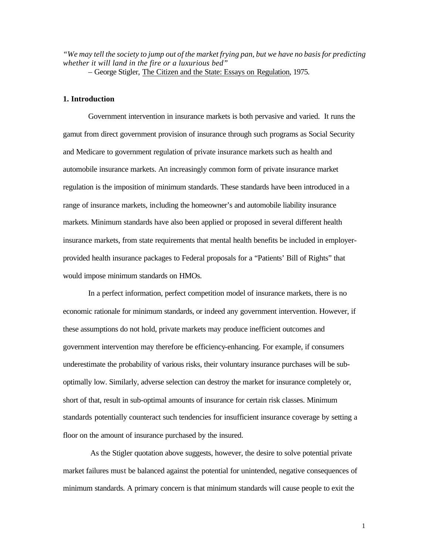*"We may tell the society to jump out of the market frying pan, but we have no basis for predicting whether it will land in the fire or a luxurious bed"*

– George Stigler, The Citizen and the State: Essays on Regulation, 1975.

# **1. Introduction**

Government intervention in insurance markets is both pervasive and varied. It runs the gamut from direct government provision of insurance through such programs as Social Security and Medicare to government regulation of private insurance markets such as health and automobile insurance markets. An increasingly common form of private insurance market regulation is the imposition of minimum standards. These standards have been introduced in a range of insurance markets, including the homeowner's and automobile liability insurance markets. Minimum standards have also been applied or proposed in several different health insurance markets, from state requirements that mental health benefits be included in employerprovided health insurance packages to Federal proposals for a "Patients' Bill of Rights" that would impose minimum standards on HMOs.

In a perfect information, perfect competition model of insurance markets, there is no economic rationale for minimum standards, or indeed any government intervention. However, if these assumptions do not hold, private markets may produce inefficient outcomes and government intervention may therefore be efficiency-enhancing. For example, if consumers underestimate the probability of various risks, their voluntary insurance purchases will be suboptimally low. Similarly, adverse selection can destroy the market for insurance completely or, short of that, result in sub-optimal amounts of insurance for certain risk classes. Minimum standards potentially counteract such tendencies for insufficient insurance coverage by setting a floor on the amount of insurance purchased by the insured.

 As the Stigler quotation above suggests, however, the desire to solve potential private market failures must be balanced against the potential for unintended, negative consequences of minimum standards. A primary concern is that minimum standards will cause people to exit the

1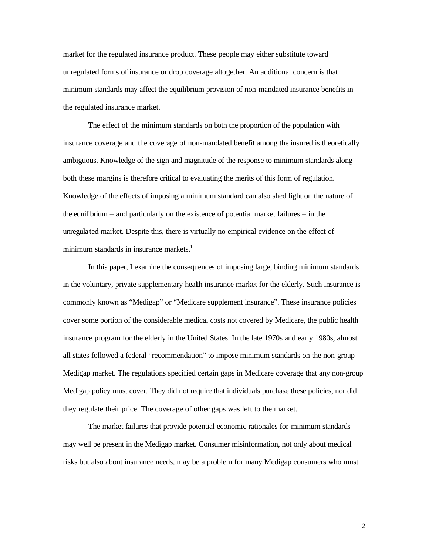market for the regulated insurance product. These people may either substitute toward unregulated forms of insurance or drop coverage altogether. An additional concern is that minimum standards may affect the equilibrium provision of non-mandated insurance benefits in the regulated insurance market.

The effect of the minimum standards on both the proportion of the population with insurance coverage and the coverage of non-mandated benefit among the insured is theoretically ambiguous. Knowledge of the sign and magnitude of the response to minimum standards along both these margins is therefore critical to evaluating the merits of this form of regulation. Knowledge of the effects of imposing a minimum standard can also shed light on the nature of the equilibrium – and particularly on the existence of potential market failures – in the unregulated market. Despite this, there is virtually no empirical evidence on the effect of minimum standards in insurance markets.<sup>1</sup>

In this paper, I examine the consequences of imposing large, binding minimum standards in the voluntary, private supplementary health insurance market for the elderly. Such insurance is commonly known as "Medigap" or "Medicare supplement insurance". These insurance policies cover some portion of the considerable medical costs not covered by Medicare, the public health insurance program for the elderly in the United States. In the late 1970s and early 1980s, almost all states followed a federal "recommendation" to impose minimum standards on the non-group Medigap market. The regulations specified certain gaps in Medicare coverage that any non-group Medigap policy must cover. They did not require that individuals purchase these policies, nor did they regulate their price. The coverage of other gaps was left to the market.

The market failures that provide potential economic rationales for minimum standards may well be present in the Medigap market. Consumer misinformation, not only about medical risks but also about insurance needs, may be a problem for many Medigap consumers who must

2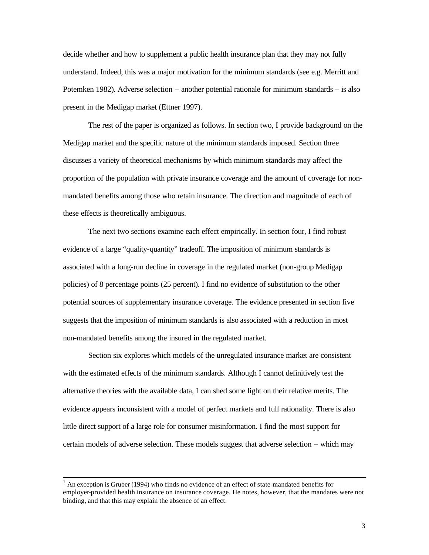decide whether and how to supplement a public health insurance plan that they may not fully understand. Indeed, this was a major motivation for the minimum standards (see e.g. Merritt and Potemken 1982). Adverse selection – another potential rationale for minimum standards – is also present in the Medigap market (Ettner 1997).

The rest of the paper is organized as follows. In section two, I provide background on the Medigap market and the specific nature of the minimum standards imposed. Section three discusses a variety of theoretical mechanisms by which minimum standards may affect the proportion of the population with private insurance coverage and the amount of coverage for nonmandated benefits among those who retain insurance. The direction and magnitude of each of these effects is theoretically ambiguous.

The next two sections examine each effect empirically. In section four, I find robust evidence of a large "quality-quantity" tradeoff. The imposition of minimum standards is associated with a long-run decline in coverage in the regulated market (non-group Medigap policies) of 8 percentage points (25 percent). I find no evidence of substitution to the other potential sources of supplementary insurance coverage. The evidence presented in section five suggests that the imposition of minimum standards is also associated with a reduction in most non-mandated benefits among the insured in the regulated market.

Section six explores which models of the unregulated insurance market are consistent with the estimated effects of the minimum standards. Although I cannot definitively test the alternative theories with the available data, I can shed some light on their relative merits. The evidence appears inconsistent with a model of perfect markets and full rationality. There is also little direct support of a large role for consumer misinformation. I find the most support for certain models of adverse selection. These models suggest that adverse selection – which may

 $<sup>1</sup>$  An exception is Gruber (1994) who finds no evidence of an effect of state-mandated benefits for</sup> employer-provided health insurance on insurance coverage. He notes, however, that the mandates were not binding, and that this may explain the absence of an effect.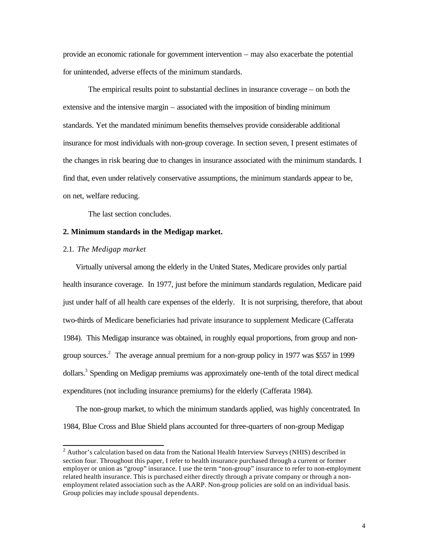provide an economic rationale for government intervention – may also exacerbate the potential for unintended, adverse effects of the minimum standards.

The empirical results point to substantial declines in insurance coverage – on both the extensive and the intensive margin – associated with the imposition of binding minimum standards. Yet the mandated minimum benefits themselves provide considerable additional insurance for most individuals with non-group coverage. In section seven, I present estimates of the changes in risk bearing due to changes in insurance associated with the minimum standards. I find that, even under relatively conservative assumptions, the minimum standards appear to be, on net, welfare reducing.

The last section concludes.

# **2. Minimum standards in the Medigap market.**

#### 2.1. *The Medigap market*

Virtually universal among the elderly in the United States, Medicare provides only partial health insurance coverage. In 1977, just before the minimum standards regulation, Medicare paid just under half of all health care expenses of the elderly. It is not surprising, therefore, that about two-thirds of Medicare beneficiaries had private insurance to supplement Medicare (Cafferata 1984). This Medigap insurance was obtained, in roughly equal proportions, from group and nongroup sources.<sup>2</sup> The average annual premium for a non-group policy in 1977 was \$557 in 1999 dollars.<sup>3</sup> Spending on Medigap premiums was approximately one-tenth of the total direct medical expenditures (not including insurance premiums) for the elderly (Cafferata 1984).

The non-group market, to which the minimum standards applied, was highly concentrated*.* In 1984, Blue Cross and Blue Shield plans accounted for three-quarters of non-group Medigap

<sup>&</sup>lt;sup>2</sup> Author's calculation based on data from the National Health Interview Surveys (NHIS) described in section four. Throughout this paper, I refer to health insurance purchased through a current or former employer or union as "group" insurance. I use the term "non-group" insurance to refer to non-employment related health insurance. This is purchased either directly through a private company or through a nonemployment related association such as the AARP. Non-group policies are sold on an individual basis. Group policies may include spousal dependents.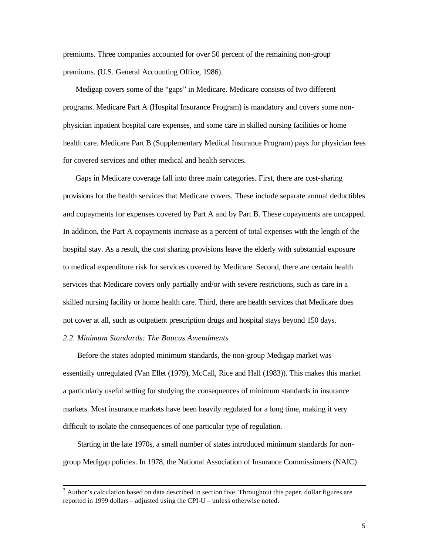premiums. Three companies accounted for over 50 percent of the remaining non-group premiums. (U.S. General Accounting Office, 1986).

Medigap covers some of the "gaps" in Medicare. Medicare consists of two different programs. Medicare Part A (Hospital Insurance Program) is mandatory and covers some nonphysician inpatient hospital care expenses, and some care in skilled nursing facilities or home health care. Medicare Part B (Supplementary Medical Insurance Program) pays for physician fees for covered services and other medical and health services.

Gaps in Medicare coverage fall into three main categories. First, there are cost-sharing provisions for the health services that Medicare covers. These include separate annual deductibles and copayments for expenses covered by Part A and by Part B. These copayments are uncapped. In addition, the Part A copayments increase as a percent of total expenses with the length of the hospital stay. As a result, the cost sharing provisions leave the elderly with substantial exposure to medical expenditure risk for services covered by Medicare. Second, there are certain health services that Medicare covers only partially and/or with severe restrictions, such as care in a skilled nursing facility or home health care. Third, there are health services that Medicare does not cover at all, such as outpatient prescription drugs and hospital stays beyond 150 days.

#### *2.2. Minimum Standards: The Baucus Amendments*

Before the states adopted minimum standards, the non-group Medigap market was essentially unregulated (Van Ellet (1979), McCall, Rice and Hall (1983)). This makes this market a particularly useful setting for studying the consequences of minimum standards in insurance markets. Most insurance markets have been heavily regulated for a long time, making it very difficult to isolate the consequences of one particular type of regulation.

Starting in the late 1970s, a small number of states introduced minimum standards for nongroup Medigap policies. In 1978, the National Association of Insurance Commissioners (NAIC)

<sup>&</sup>lt;sup>3</sup> Author's calculation based on data described in section five. Throughout this paper, dollar figures are reported in 1999 dollars – adjusted using the CPI-U – unless otherwise noted.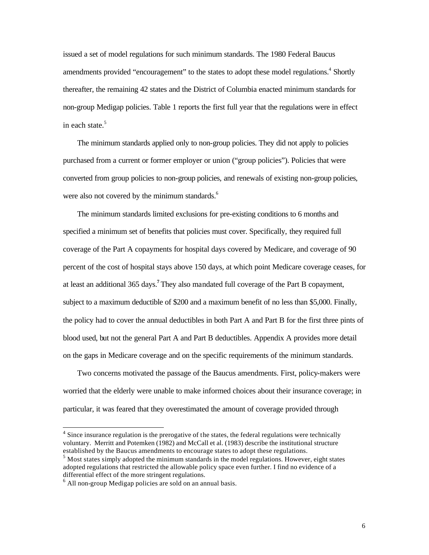issued a set of model regulations for such minimum standards. The 1980 Federal Baucus amendments provided "encouragement" to the states to adopt these model regulations.<sup>4</sup> Shortly thereafter, the remaining 42 states and the District of Columbia enacted minimum standards for non-group Medigap policies. Table 1 reports the first full year that the regulations were in effect in each state.<sup>5</sup>

The minimum standards applied only to non-group policies. They did not apply to policies purchased from a current or former employer or union ("group policies"). Policies that were converted from group policies to non-group policies, and renewals of existing non-group policies, were also not covered by the minimum standards.<sup>6</sup>

The minimum standards limited exclusions for pre-existing conditions to 6 months and specified a minimum set of benefits that policies must cover. Specifically, they required full coverage of the Part A copayments for hospital days covered by Medicare, and coverage of 90 percent of the cost of hospital stays above 150 days, at which point Medicare coverage ceases, for at least an additional 365 days.**<sup>7</sup>** They also mandated full coverage of the Part B copayment, subject to a maximum deductible of \$200 and a maximum benefit of no less than \$5,000. Finally, the policy had to cover the annual deductibles in both Part A and Part B for the first three pints of blood used, but not the general Part A and Part B deductibles. Appendix A provides more detail on the gaps in Medicare coverage and on the specific requirements of the minimum standards.

Two concerns motivated the passage of the Baucus amendments. First, policy-makers were worried that the elderly were unable to make informed choices about their insurance coverage; in particular, it was feared that they overestimated the amount of coverage provided through

 $4$  Since insurance regulation is the prerogative of the states, the federal regulations were technically voluntary. Merritt and Potemken (1982) and McCall et al. (1983) describe the institutional structure established by the Baucus amendments to encourage states to adopt these regulations.

 $<sup>5</sup>$  Most states simply adopted the minimum standards in the model regulations. However, eight states</sup> adopted regulations that restricted the allowable policy space even further. I find no evidence of a differential effect of the more stringent regulations.

<sup>&</sup>lt;sup>6</sup> All non-group Medigap policies are sold on an annual basis.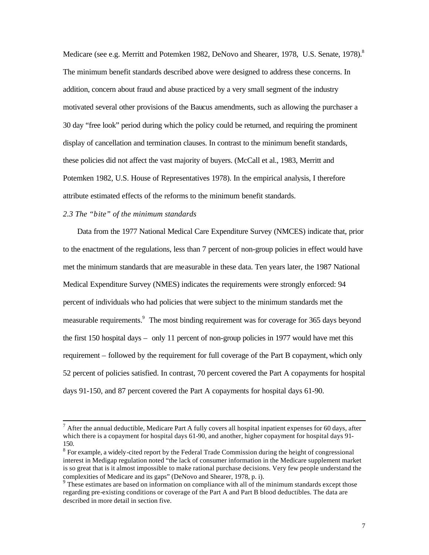Medicare (see e.g. Merritt and Potemken 1982, DeNovo and Shearer, 1978, U.S. Senate, 1978).<sup>8</sup> The minimum benefit standards described above were designed to address these concerns. In addition, concern about fraud and abuse practiced by a very small segment of the industry motivated several other provisions of the Baucus amendments, such as allowing the purchaser a 30 day "free look" period during which the policy could be returned, and requiring the prominent display of cancellation and termination clauses. In contrast to the minimum benefit standards, these policies did not affect the vast majority of buyers. (McCall et al., 1983, Merritt and Potemken 1982, U.S. House of Representatives 1978). In the empirical analysis, I therefore attribute estimated effects of the reforms to the minimum benefit standards.

# *2.3 The "bite" of the minimum standards*

l

Data from the 1977 National Medical Care Expenditure Survey (NMCES) indicate that, prior to the enactment of the regulations, less than 7 percent of non-group policies in effect would have met the minimum standards that are measurable in these data. Ten years later, the 1987 National Medical Expenditure Survey (NMES) indicates the requirements were strongly enforced: 94 percent of individuals who had policies that were subject to the minimum standards met the measurable requirements.<sup>9</sup> The most binding requirement was for coverage for 365 days beyond the first 150 hospital days – only 11 percent of non-group policies in 1977 would have met this requirement – followed by the requirement for full coverage of the Part B copayment, which only 52 percent of policies satisfied. In contrast, 70 percent covered the Part A copayments for hospital days 91-150, and 87 percent covered the Part A copayments for hospital days 61-90.

 $^7$  After the annual deductible, Medicare Part A fully covers all hospital inpatient expenses for 60 days, after which there is a copayment for hospital days 61-90, and another, higher copayment for hospital days 91- 150.

 $8$  For example, a widely-cited report by the Federal Trade Commission during the height of congressional interest in Medigap regulation noted "the lack of consumer information in the Medicare supplement market is so great that is it almost impossible to make rational purchase decisions. Very few people understand the complexities of Medicare and its gaps" (DeNovo and Shearer, 1978, p. i).

<sup>&</sup>lt;sup>9</sup> These estimates are based on information on compliance with all of the minimum standards except those regarding pre-existing conditions or coverage of the Part A and Part B blood deductibles. The data are described in more detail in section five.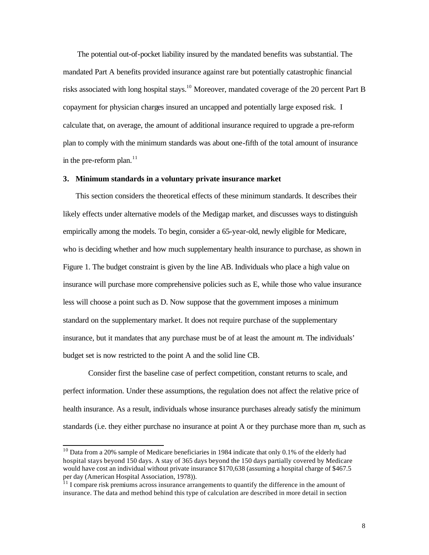The potential out-of-pocket liability insured by the mandated benefits was substantial. The mandated Part A benefits provided insurance against rare but potentially catastrophic financial risks associated with long hospital stays.<sup>10</sup> Moreover, mandated coverage of the 20 percent Part B copayment for physician charges insured an uncapped and potentially large exposed risk. I calculate that, on average, the amount of additional insurance required to upgrade a pre-reform plan to comply with the minimum standards was about one-fifth of the total amount of insurance in the pre-reform plan. $11$ 

# **3. Minimum standards in a voluntary private insurance market**

This section considers the theoretical effects of these minimum standards. It describes their likely effects under alternative models of the Medigap market, and discusses ways to distinguish empirically among the models. To begin, consider a 65-year-old, newly eligible for Medicare, who is deciding whether and how much supplementary health insurance to purchase, as shown in Figure 1. The budget constraint is given by the line AB. Individuals who place a high value on insurance will purchase more comprehensive policies such as E, while those who value insurance less will choose a point such as D. Now suppose that the government imposes a minimum standard on the supplementary market. It does not require purchase of the supplementary insurance, but it mandates that any purchase must be of at least the amount *m*. The individuals' budget set is now restricted to the point A and the solid line CB.

Consider first the baseline case of perfect competition, constant returns to scale, and perfect information. Under these assumptions, the regulation does not affect the relative price of health insurance. As a result, individuals whose insurance purchases already satisfy the minimum standards (i.e. they either purchase no insurance at point A or they purchase more than *m*, such as

 $10$  Data from a 20% sample of Medicare beneficiaries in 1984 indicate that only 0.1% of the elderly had hospital stays beyond 150 days. A stay of 365 days beyond the 150 days partially covered by Medicare would have cost an individual without private insurance \$170,638 (assuming a hospital charge of \$467.5 per day (American Hospital Association, 1978)).

 $11$  I compare risk premiums across insurance arrangements to quantify the difference in the amount of insurance. The data and method behind this type of calculation are described in more detail in section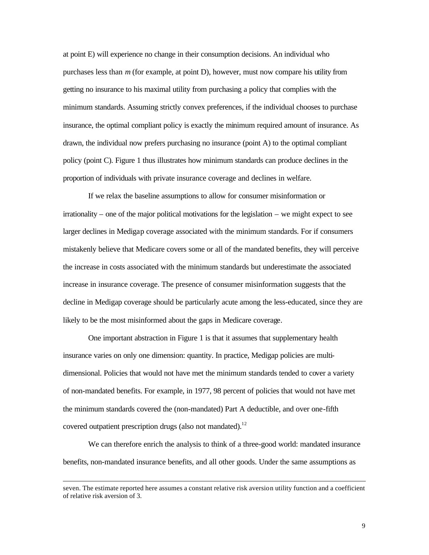at point E) will experience no change in their consumption decisions. An individual who purchases less than *m* (for example, at point D), however, must now compare his utility from getting no insurance to his maximal utility from purchasing a policy that complies with the minimum standards. Assuming strictly convex preferences, if the individual chooses to purchase insurance, the optimal compliant policy is exactly the minimum required amount of insurance. As drawn, the individual now prefers purchasing no insurance (point A) to the optimal compliant policy (point C). Figure 1 thus illustrates how minimum standards can produce declines in the proportion of individuals with private insurance coverage and declines in welfare.

If we relax the baseline assumptions to allow for consumer misinformation or irrationality – one of the major political motivations for the legislation – we might expect to see larger declines in Medigap coverage associated with the minimum standards. For if consumers mistakenly believe that Medicare covers some or all of the mandated benefits, they will perceive the increase in costs associated with the minimum standards but underestimate the associated increase in insurance coverage. The presence of consumer misinformation suggests that the decline in Medigap coverage should be particularly acute among the less-educated, since they are likely to be the most misinformed about the gaps in Medicare coverage.

One important abstraction in Figure 1 is that it assumes that supplementary health insurance varies on only one dimension: quantity. In practice, Medigap policies are multidimensional. Policies that would not have met the minimum standards tended to cover a variety of non-mandated benefits. For example, in 1977, 98 percent of policies that would not have met the minimum standards covered the (non-mandated) Part A deductible, and over one-fifth covered outpatient prescription drugs (also not mandated).<sup>12</sup>

We can therefore enrich the analysis to think of a three-good world: mandated insurance benefits, non-mandated insurance benefits, and all other goods. Under the same assumptions as

seven. The estimate reported here assumes a constant relative risk aversion utility function and a coefficient of relative risk aversion of 3.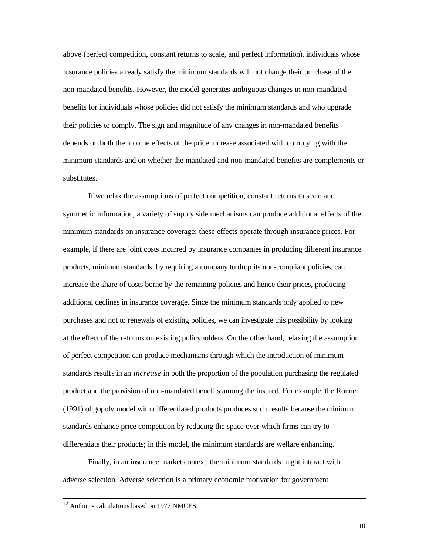above (perfect competition, constant returns to scale, and perfect information), individuals whose insurance policies already satisfy the minimum standards will not change their purchase of the non-mandated benefits. However, the model generates ambiguous changes in non-mandated benefits for individuals whose policies did not satisfy the minimum standards and who upgrade their policies to comply. The sign and magnitude of any changes in non-mandated benefits depends on both the income effects of the price increase associated with complying with the minimum standards and on whether the mandated and non-mandated benefits are complements or substitutes.

If we relax the assumptions of perfect competition, constant returns to scale and symmetric information, a variety of supply side mechanisms can produce additional effects of the minimum standards on insurance coverage; these effects operate through insurance prices. For example, if there are joint costs incurred by insurance companies in producing different insurance products, minimum standards, by requiring a company to drop its non-compliant policies, can increase the share of costs borne by the remaining policies and hence their prices, producing additional declines in insurance coverage. Since the minimum standards only applied to new purchases and not to renewals of existing policies, we can investigate this possibility by looking at the effect of the reforms on existing policyholders. On the other hand, relaxing the assumption of perfect competition can produce mechanisms through which the introduction of minimum standards results in an *increase* in both the proportion of the population purchasing the regulated product and the provision of non-mandated benefits among the insured. For example, the Ronnen (1991) oligopoly model with differentiated products produces such results because the minimum standards enhance price competition by reducing the space over which firms can try to differentiate their products; in this model, the minimum standards are welfare enhancing.

Finally, in an insurance market context, the minimum standards might interact with adverse selection. Adverse selection is a primary economic motivation for government

 $12$  Author's calculations based on 1977 NMCES.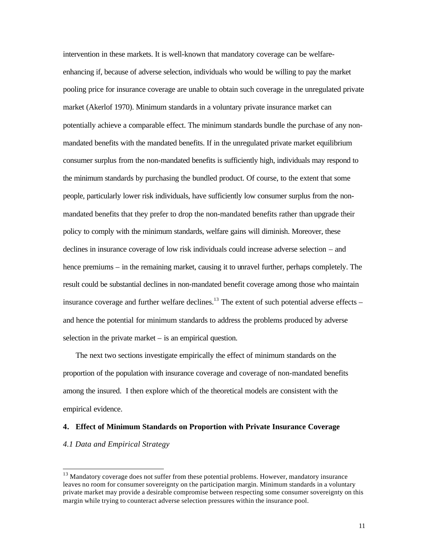intervention in these markets. It is well-known that mandatory coverage can be welfareenhancing if, because of adverse selection, individuals who would be willing to pay the market pooling price for insurance coverage are unable to obtain such coverage in the unregulated private market (Akerlof 1970). Minimum standards in a voluntary private insurance market can potentially achieve a comparable effect. The minimum standards bundle the purchase of any nonmandated benefits with the mandated benefits. If in the unregulated private market equilibrium consumer surplus from the non-mandated benefits is sufficiently high, individuals may respond to the minimum standards by purchasing the bundled product. Of course, to the extent that some people, particularly lower risk individuals, have sufficiently low consumer surplus from the nonmandated benefits that they prefer to drop the non-mandated benefits rather than upgrade their policy to comply with the minimum standards, welfare gains will diminish. Moreover, these declines in insurance coverage of low risk individuals could increase adverse selection – and hence premiums – in the remaining market, causing it to unravel further, perhaps completely. The result could be substantial declines in non-mandated benefit coverage among those who maintain insurance coverage and further welfare declines.<sup>13</sup> The extent of such potential adverse effects – and hence the potential for minimum standards to address the problems produced by adverse selection in the private market – is an empirical question.

The next two sections investigate empirically the effect of minimum standards on the proportion of the population with insurance coverage and coverage of non-mandated benefits among the insured. I then explore which of the theoretical models are consistent with the empirical evidence.

#### **4. Effect of Minimum Standards on Proportion with Private Insurance Coverage**

#### *4.1 Data and Empirical Strategy*

<sup>&</sup>lt;sup>13</sup> Mandatory coverage does not suffer from these potential problems. However, mandatory insurance leaves no room for consumer sovereignty on the participation margin. Minimum standards in a voluntary private market may provide a desirable compromise between respecting some consumer sovereignty on this margin while trying to counteract adverse selection pressures within the insurance pool.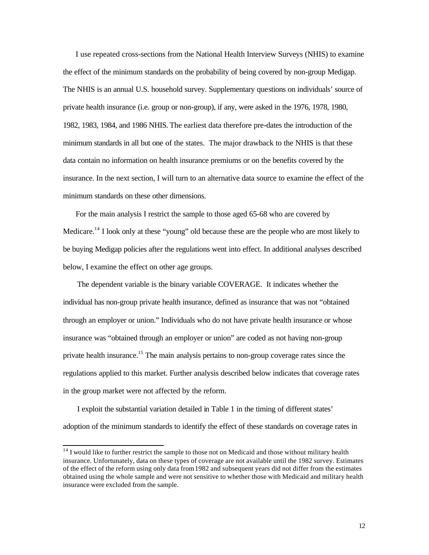I use repeated cross-sections from the National Health Interview Surveys (NHIS) to examine the effect of the minimum standards on the probability of being covered by non-group Medigap. The NHIS is an annual U.S. household survey. Supplementary questions on individuals' source of private health insurance (i.e. group or non-group), if any, were asked in the 1976, 1978, 1980, 1982, 1983, 1984, and 1986 NHIS. The earliest data therefore pre-dates the introduction of the minimum standards in all but one of the states. The major drawback to the NHIS is that these data contain no information on health insurance premiums or on the benefits covered by the insurance. In the next section, I will turn to an alternative data source to examine the effect of the minimum standards on these other dimensions.

For the main analysis I restrict the sample to those aged 65-68 who are covered by Medicare.<sup>14</sup> I look only at these "young" old because these are the people who are most likely to be buying Medigap policies after the regulations went into effect. In additional analyses described below, I examine the effect on other age groups.

The dependent variable is the binary variable COVERAGE. It indicates whether the individual has non-group private health insurance, defined as insurance that was not "obtained through an employer or union." Individuals who do not have private health insurance or whose insurance was "obtained through an employer or union" are coded as not having non-group private health insurance.<sup>15</sup> The main analysis pertains to non-group coverage rates since the regulations applied to this market. Further analysis described below indicates that coverage rates in the group market were not affected by the reform.

I exploit the substantial variation detailed in Table 1 in the timing of different states' adoption of the minimum standards to identify the effect of these standards on coverage rates in

 $14$  I would like to further restrict the sample to those not on Medicaid and those without military health insurance. Unfortunately, data on these types of coverage are not available until the 1982 survey. Estimates of the effect of the reform using only data from 1982 and subsequent years did not differ from the estimates obtained using the whole sample and were not sensitive to whether those with Medicaid and military health insurance were excluded from the sample.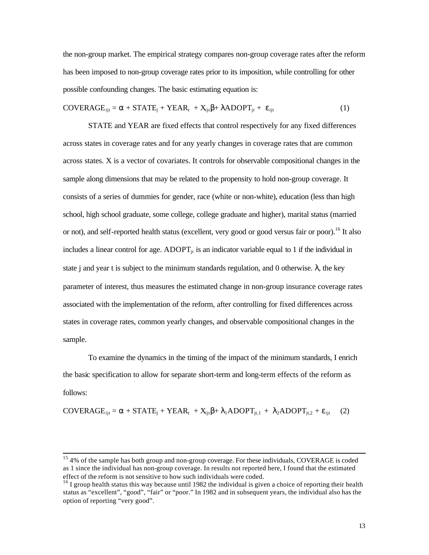the non-group market. The empirical strategy compares non-group coverage rates after the reform has been imposed to non-group coverage rates prior to its imposition, while controlling for other possible confounding changes. The basic estimating equation is:

$$
COVERAGE_{ijt} = \alpha + STATE_j + YEAR_t + X_{ijt}\beta + \lambda ADOPT_{jt} + \varepsilon_{ijt}
$$
 (1)

STATE and YEAR are fixed effects that control respectively for any fixed differences across states in coverage rates and for any yearly changes in coverage rates that are common across states. X is a vector of covariates. It controls for observable compositional changes in the sample along dimensions that may be related to the propensity to hold non-group coverage. It consists of a series of dummies for gender, race (white or non-white), education (less than high school, high school graduate, some college, college graduate and higher), marital status (married or not), and self-reported health status (excellent, very good or good versus fair or poor).<sup>16</sup> It also includes a linear control for age.  $ADOPT_{it}$  is an indicator variable equal to 1 if the individual in state j and year t is subject to the minimum standards regulation, and 0 otherwise.  $\lambda$ , the key parameter of interest, thus measures the estimated change in non-group insurance coverage rates associated with the implementation of the reform, after controlling for fixed differences across states in coverage rates, common yearly changes, and observable compositional changes in the sample.

To examine the dynamics in the timing of the impact of the minimum standards, I enrich the basic specification to allow for separate short-term and long-term effects of the reform as follows:

$$
COVERAGE_{ijt} = \alpha + STATE_j + YEAR_t + X_{ijt}\beta + \lambda_1 ADOPT_{jt,1} + \lambda_2 ADOPT_{jt,2} + \epsilon_{ijt} \tag{2}
$$

 $15$  4% of the sample has both group and non-group coverage. For these individuals, COVERAGE is coded as 1 since the individual has non-group coverage. In results not reported here, I found that the estimated effect of the reform is not sensitive to how such individuals were coded.

<sup>&</sup>lt;sup>16</sup> I group health status this way because until 1982 the individual is given a choice of reporting their health status as "excellent", "good", "fair" or "poor." In 1982 and in subsequent years, the individual also has the option of reporting "very good".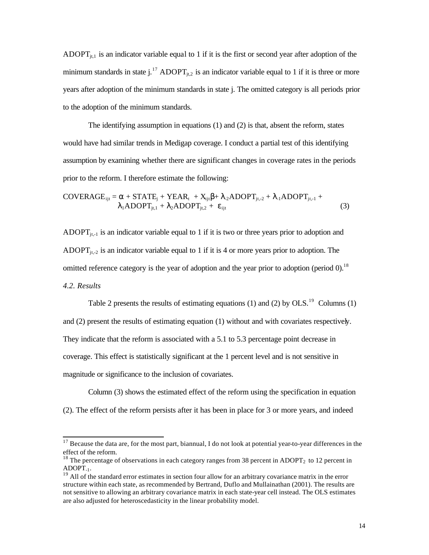ADOPT $_{j,t,1}$  is an indicator variable equal to 1 if it is the first or second year after adoption of the minimum standards in state j.<sup>17</sup> ADOPT<sub>it.2</sub> is an indicator variable equal to 1 if it is three or more years after adoption of the minimum standards in state j. The omitted category is all periods prior to the adoption of the minimum standards.

The identifying assumption in equations (1) and (2) is that, absent the reform, states would have had similar trends in Medigap coverage. I conduct a partial test of this identifying assumption by examining whether there are significant changes in coverage rates in the periods prior to the reform. I therefore estimate the following:

COVERAGE<sub>ijt</sub> = 
$$
\alpha
$$
 + STATE<sub>j</sub> + YEAR<sub>t</sub> + X<sub>ijt</sub>β+ λ<sub>2</sub>ADOPT<sub>jt,2</sub> + λ<sub>1</sub>ADOPT<sub>jt,1</sub> +  
\nλ<sub>1</sub>ADOPT<sub>jt,1</sub> + λ<sub>2</sub>ADOPT<sub>jt,2</sub> + ε<sub>ijt</sub> (3)

ADOPT $_{it-1}$  is an indicator variable equal to 1 if it is two or three years prior to adoption and ADOPT $_{it,-2}$  is an indicator variable equal to 1 if it is 4 or more years prior to adoption. The omitted reference category is the year of adoption and the year prior to adoption (period  $0$ ).<sup>18</sup> *4.2. Results*

Table 2 presents the results of estimating equations (1) and (2) by  $OLS.^{19}$  Columns (1) and (2) present the results of estimating equation (1) without and with covariates respectively. They indicate that the reform is associated with a 5.1 to 5.3 percentage point decrease in coverage. This effect is statistically significant at the 1 percent level and is not sensitive in magnitude or significance to the inclusion of covariates.

Column (3) shows the estimated effect of the reform using the specification in equation (2). The effect of the reform persists after it has been in place for 3 or more years, and indeed

 $17$  Because the data are, for the most part, biannual, I do not look at potential year-to-year differences in the effect of the reform.

<sup>&</sup>lt;sup>18</sup> The percentage of observations in each category ranges from 38 percent in ADOPT<sub>2</sub> to 12 percent in  $ADOPT_{-1}$ .

 $19$  All of the standard error estimates in section four allow for an arbitrary covariance matrix in the error structure within each state, as recommended by Bertrand, Duflo and Mullainathan (2001). The results are not sensitive to allowing an arbitrary covariance matrix in each state-year cell instead. The OLS estimates are also adjusted for heteroscedasticity in the linear probability model.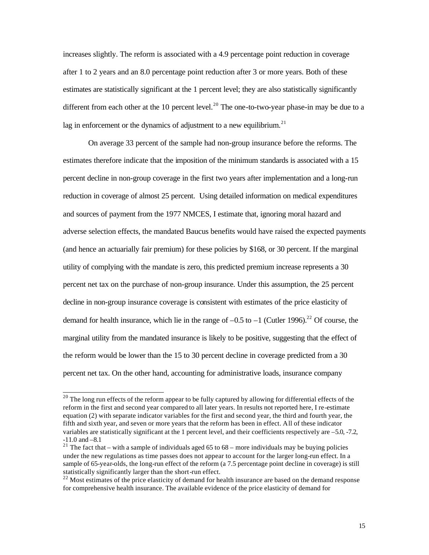increases slightly. The reform is associated with a 4.9 percentage point reduction in coverage after 1 to 2 years and an 8.0 percentage point reduction after 3 or more years. Both of these estimates are statistically significant at the 1 percent level; they are also statistically significantly different from each other at the 10 percent level.<sup>20</sup> The one-to-two-year phase-in may be due to a lag in enforcement or the dynamics of adjustment to a new equilibrium.<sup>21</sup>

On average 33 percent of the sample had non-group insurance before the reforms. The estimates therefore indicate that the imposition of the minimum standards is associated with a 15 percent decline in non-group coverage in the first two years after implementation and a long-run reduction in coverage of almost 25 percent. Using detailed information on medical expenditures and sources of payment from the 1977 NMCES, I estimate that, ignoring moral hazard and adverse selection effects, the mandated Baucus benefits would have raised the expected payments (and hence an actuarially fair premium) for these policies by \$168, or 30 percent. If the marginal utility of complying with the mandate is zero, this predicted premium increase represents a 30 percent net tax on the purchase of non-group insurance. Under this assumption, the 25 percent decline in non-group insurance coverage is consistent with estimates of the price elasticity of demand for health insurance, which lie in the range of  $-0.5$  to  $-1$  (Cutler 1996).<sup>22</sup> Of course, the marginal utility from the mandated insurance is likely to be positive, suggesting that the effect of the reform would be lower than the 15 to 30 percent decline in coverage predicted from a 30 percent net tax. On the other hand, accounting for administrative loads, insurance company

 $20$  The long run effects of the reform appear to be fully captured by allowing for differential effects of the reform in the first and second year compared to all later years. In results not reported here, I re-estimate equation (2) with separate indicator variables for the first and second year, the third and fourth year, the fifth and sixth year, and seven or more years that the reform has been in effect. All of these indicator variables are statistically significant at the 1 percent level, and their coefficients respectively are –5.0, -7.2, -11.0 and –8.1

<sup>&</sup>lt;sup>21</sup> The fact that – with a sample of individuals aged 65 to 68 – more individuals may be buying policies under the new regulations as time passes does not appear to account for the larger long-run effect. In a sample of 65-year-olds, the long-run effect of the reform (a 7.5 percentage point decline in coverage) is still statistically significantly larger than the short-run effect.

 $2<sup>22</sup>$  Most estimates of the price elasticity of demand for health insurance are based on the demand response for comprehensive health insurance. The available evidence of the price elasticity of demand for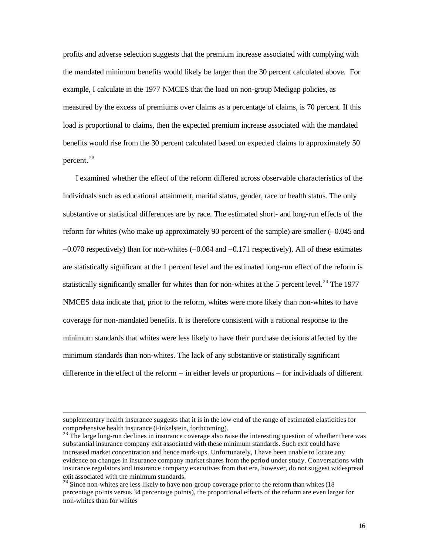profits and adverse selection suggests that the premium increase associated with complying with the mandated minimum benefits would likely be larger than the 30 percent calculated above. For example, I calculate in the 1977 NMCES that the load on non-group Medigap policies, as measured by the excess of premiums over claims as a percentage of claims, is 70 percent. If this load is proportional to claims, then the expected premium increase associated with the mandated benefits would rise from the 30 percent calculated based on expected claims to approximately 50 percent.<sup>23</sup>

I examined whether the effect of the reform differed across observable characteristics of the individuals such as educational attainment, marital status, gender, race or health status. The only substantive or statistical differences are by race. The estimated short- and long-run effects of the reform for whites (who make up approximately 90 percent of the sample) are smaller (–0.045 and –0.070 respectively) than for non-whites (–0.084 and –0.171 respectively). All of these estimates are statistically significant at the 1 percent level and the estimated long-run effect of the reform is statistically significantly smaller for whites than for non-whites at the 5 percent level.<sup>24</sup> The 1977 NMCES data indicate that, prior to the reform, whites were more likely than non-whites to have coverage for non-mandated benefits. It is therefore consistent with a rational response to the minimum standards that whites were less likely to have their purchase decisions affected by the minimum standards than non-whites. The lack of any substantive or statistically significant difference in the effect of the reform – in either levels or proportions – for individuals of different

supplementary health insurance suggests that it is in the low end of the range of estimated elasticities for comprehensive health insurance (Finkelstein, forthcoming).

<sup>&</sup>lt;sup>23</sup> The large long-run declines in insurance coverage also raise the interesting question of whether there was substantial insurance company exit associated with these minimum standards. Such exit could have increased market concentration and hence mark-ups. Unfortunately, I have been unable to locate any evidence on changes in insurance company market shares from the period under study. Conversations with insurance regulators and insurance company executives from that era, however, do not suggest widespread exit associated with the minimum standards.

 $24$  Since non-whites are less likely to have non-group coverage prior to the reform than whites (18) percentage points versus 34 percentage points), the proportional effects of the reform are even larger for non-whites than for whites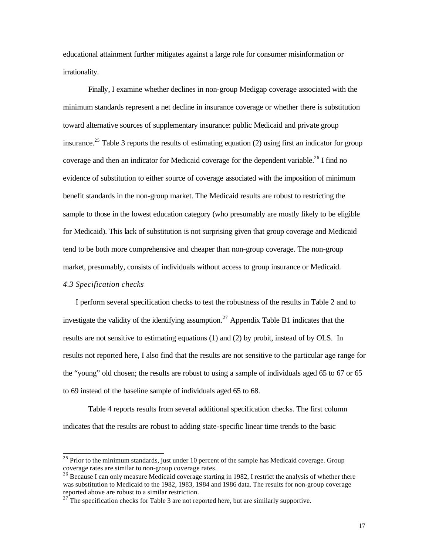educational attainment further mitigates against a large role for consumer misinformation or irrationality.

Finally, I examine whether declines in non-group Medigap coverage associated with the minimum standards represent a net decline in insurance coverage or whether there is substitution toward alternative sources of supplementary insurance: public Medicaid and private group insurance.<sup>25</sup> Table 3 reports the results of estimating equation (2) using first an indicator for group coverage and then an indicator for Medicaid coverage for the dependent variable.<sup>26</sup> I find no evidence of substitution to either source of coverage associated with the imposition of minimum benefit standards in the non-group market. The Medicaid results are robust to restricting the sample to those in the lowest education category (who presumably are mostly likely to be eligible for Medicaid). This lack of substitution is not surprising given that group coverage and Medicaid tend to be both more comprehensive and cheaper than non-group coverage. The non-group market, presumably, consists of individuals without access to group insurance or Medicaid.

# *4.3 Specification checks*

l

I perform several specification checks to test the robustness of the results in Table 2 and to investigate the validity of the identifying assumption.<sup>27</sup> Appendix Table B1 indicates that the results are not sensitive to estimating equations (1) and (2) by probit, instead of by OLS. In results not reported here, I also find that the results are not sensitive to the particular age range for the "young" old chosen; the results are robust to using a sample of individuals aged 65 to 67 or 65 to 69 instead of the baseline sample of individuals aged 65 to 68.

Table 4 reports results from several additional specification checks. The first column indicates that the results are robust to adding state-specific linear time trends to the basic

 $25$  Prior to the minimum standards, just under 10 percent of the sample has Medicaid coverage. Group coverage rates are similar to non-group coverage rates.

<sup>&</sup>lt;sup>26</sup> Because I can only measure Medicaid coverage starting in 1982, I restrict the analysis of whether there was substitution to Medicaid to the 1982, 1983, 1984 and 1986 data. The results for non-group coverage reported above are robust to a similar restriction.

 $27$ <sup>T</sup>The specification checks for Table 3 are not reported here, but are similarly supportive.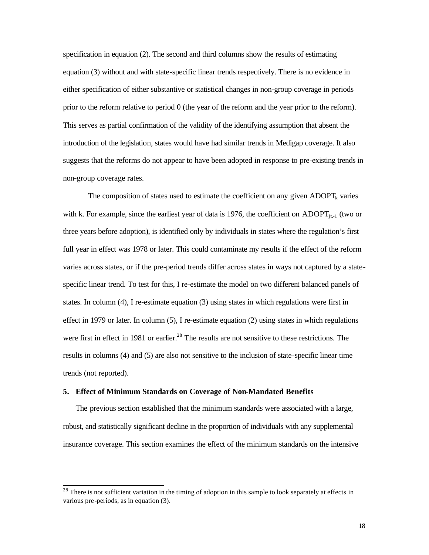specification in equation (2). The second and third columns show the results of estimating equation (3) without and with state-specific linear trends respectively. There is no evidence in either specification of either substantive or statistical changes in non-group coverage in periods prior to the reform relative to period 0 (the year of the reform and the year prior to the reform). This serves as partial confirmation of the validity of the identifying assumption that absent the introduction of the legislation, states would have had similar trends in Medigap coverage. It also suggests that the reforms do not appear to have been adopted in response to pre-existing trends in non-group coverage rates.

The composition of states used to estimate the coefficient on any given  $ADOPT_k$  varies with k. For example, since the earliest year of data is 1976, the coefficient on ADOPT<sub>it-1</sub> (two or three years before adoption), is identified only by individuals in states where the regulation's first full year in effect was 1978 or later. This could contaminate my results if the effect of the reform varies across states, or if the pre-period trends differ across states in ways not captured by a statespecific linear trend. To test for this, I re-estimate the model on two different balanced panels of states. In column (4), I re-estimate equation (3) using states in which regulations were first in effect in 1979 or later. In column (5), I re-estimate equation (2) using states in which regulations were first in effect in 1981 or earlier.<sup>28</sup> The results are not sensitive to these restrictions. The results in columns (4) and (5) are also not sensitive to the inclusion of state-specific linear time trends (not reported).

# **5. Effect of Minimum Standards on Coverage of Non-Mandated Benefits**

l

The previous section established that the minimum standards were associated with a large, robust, and statistically significant decline in the proportion of individuals with any supplemental insurance coverage. This section examines the effect of the minimum standards on the intensive

 $2<sup>28</sup>$  There is not sufficient variation in the timing of adoption in this sample to look separately at effects in various pre-periods, as in equation (3).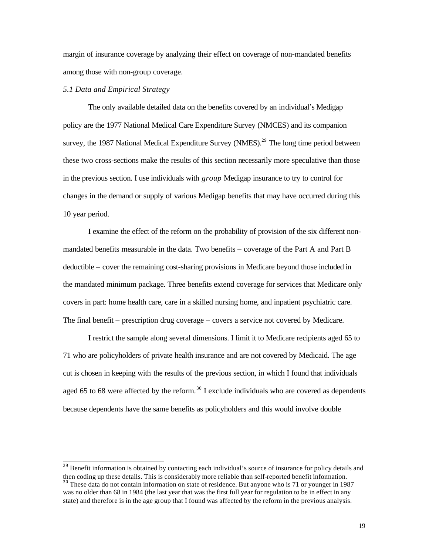margin of insurance coverage by analyzing their effect on coverage of non-mandated benefits among those with non-group coverage.

#### *5.1 Data and Empirical Strategy*

l

The only available detailed data on the benefits covered by an individual's Medigap policy are the 1977 National Medical Care Expenditure Survey (NMCES) and its companion survey, the 1987 National Medical Expenditure Survey (NMES).<sup>29</sup> The long time period between these two cross-sections make the results of this section necessarily more speculative than those in the previous section. I use individuals with *group* Medigap insurance to try to control for changes in the demand or supply of various Medigap benefits that may have occurred during this 10 year period.

I examine the effect of the reform on the probability of provision of the six different nonmandated benefits measurable in the data. Two benefits – coverage of the Part A and Part B deductible – cover the remaining cost-sharing provisions in Medicare beyond those included in the mandated minimum package. Three benefits extend coverage for services that Medicare only covers in part: home health care, care in a skilled nursing home, and inpatient psychiatric care. The final benefit – prescription drug coverage – covers a service not covered by Medicare.

I restrict the sample along several dimensions. I limit it to Medicare recipients aged 65 to 71 who are policyholders of private health insurance and are not covered by Medicaid. The age cut is chosen in keeping with the results of the previous section, in which I found that individuals aged 65 to 68 were affected by the reform.<sup>30</sup> I exclude individuals who are covered as dependents because dependents have the same benefits as policyholders and this would involve double

<sup>&</sup>lt;sup>29</sup> Benefit information is obtained by contacting each individual's source of insurance for policy details and then coding up these details. This is considerably more reliable than self-reported benefit information. <sup>30</sup> These data do not contain information on state of residence. But anyone who is 71 or younger in 1987

was no older than 68 in 1984 (the last year that was the first full year for regulation to be in effect in any state) and therefore is in the age group that I found was affected by the reform in the previous analysis.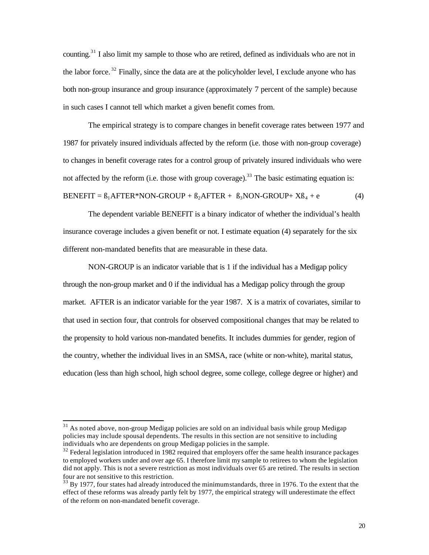counting.<sup>31</sup> I also limit my sample to those who are retired, defined as individuals who are not in the labor force.<sup>32</sup> Finally, since the data are at the policyholder level, I exclude anyone who has both non-group insurance and group insurance (approximately 7 percent of the sample) because in such cases I cannot tell which market a given benefit comes from.

The empirical strategy is to compare changes in benefit coverage rates between 1977 and 1987 for privately insured individuals affected by the reform (i.e. those with non-group coverage) to changes in benefit coverage rates for a control group of privately insured individuals who were not affected by the reform (i.e. those with group coverage).<sup>33</sup> The basic estimating equation is: BENEFIT =  $\beta_1$ AFTER\*NON-GROUP +  $\beta_2$ AFTER +  $\beta_3$ NON-GROUP+ X $\beta_4$  + e (4)

The dependent variable BENEFIT is a binary indicator of whether the individual's health insurance coverage includes a given benefit or not. I estimate equation (4) separately for the six different non-mandated benefits that are measurable in these data.

NON-GROUP is an indicator variable that is 1 if the individual has a Medigap policy through the non-group market and 0 if the individual has a Medigap policy through the group market. AFTER is an indicator variable for the year 1987. X is a matrix of covariates, similar to that used in section four, that controls for observed compositional changes that may be related to the propensity to hold various non-mandated benefits. It includes dummies for gender, region of the country, whether the individual lives in an SMSA, race (white or non-white), marital status, education (less than high school, high school degree, some college, college degree or higher) and

<sup>&</sup>lt;sup>31</sup> As noted above, non-group Medigap policies are sold on an individual basis while group Medigap policies may include spousal dependents. The results in this section are not sensitive to including individuals who are dependents on group Medigap policies in the sample.

 $32$  Federal legislation introduced in 1982 required that employers offer the same health insurance packages to employed workers under and over age 65. I therefore limit my sample to retirees to whom the legislation did not apply. This is not a severe restriction as most individuals over 65 are retired. The results in section four are not sensitive to this restriction.

<sup>&</sup>lt;sup>33</sup> By 1977, four states had already introduced the minimum standards, three in 1976. To the extent that the effect of these reforms was already partly felt by 1977, the empirical strategy will underestimate the effect of the reform on non-mandated benefit coverage.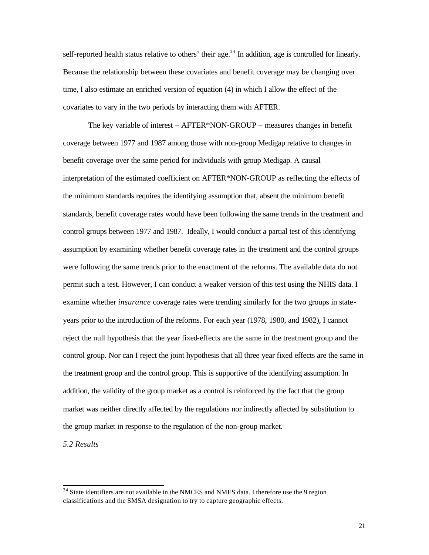self-reported health status relative to others' their age.<sup>34</sup> In addition, age is controlled for linearly. Because the relationship between these covariates and benefit coverage may be changing over time, I also estimate an enriched version of equation (4) in which I allow the effect of the covariates to vary in the two periods by interacting them with AFTER.

The key variable of interest – AFTER\*NON-GROUP – measures changes in benefit coverage between 1977 and 1987 among those with non-group Medigap relative to changes in benefit coverage over the same period for individuals with group Medigap. A causal interpretation of the estimated coefficient on AFTER\*NON-GROUP as reflecting the effects of the minimum standards requires the identifying assumption that, absent the minimum benefit standards, benefit coverage rates would have been following the same trends in the treatment and control groups between 1977 and 1987. Ideally, I would conduct a partial test of this identifying assumption by examining whether benefit coverage rates in the treatment and the control groups were following the same trends prior to the enactment of the reforms. The available data do not permit such a test. However, I can conduct a weaker version of this test using the NHIS data. I examine whether *insurance* coverage rates were trending similarly for the two groups in stateyears prior to the introduction of the reforms. For each year (1978, 1980, and 1982), I cannot reject the null hypothesis that the year fixed-effects are the same in the treatment group and the control group. Nor can I reject the joint hypothesis that all three year fixed effects are the same in the treatment group and the control group. This is supportive of the identifying assumption. In addition, the validity of the group market as a control is reinforced by the fact that the group market was neither directly affected by the regulations nor indirectly affected by substitution to the group market in response to the regulation of the non-group market.

*5.2 Results*

 $34$  State identifiers are not available in the NMCES and NMES data. I therefore use the 9 region classifications and the SMSA designation to try to capture geographic effects.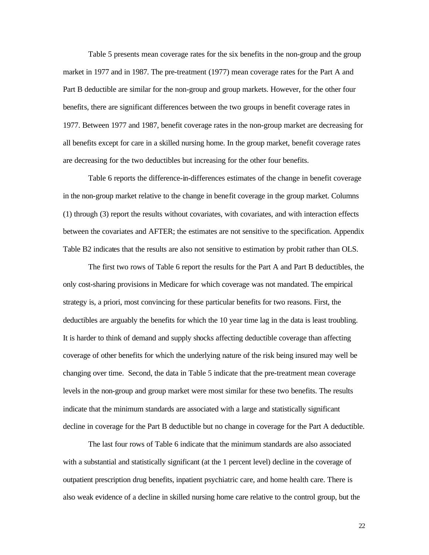Table 5 presents mean coverage rates for the six benefits in the non-group and the group market in 1977 and in 1987. The pre-treatment (1977) mean coverage rates for the Part A and Part B deductible are similar for the non-group and group markets. However, for the other four benefits, there are significant differences between the two groups in benefit coverage rates in 1977. Between 1977 and 1987, benefit coverage rates in the non-group market are decreasing for all benefits except for care in a skilled nursing home. In the group market, benefit coverage rates are decreasing for the two deductibles but increasing for the other four benefits.

Table 6 reports the difference-in-differences estimates of the change in benefit coverage in the non-group market relative to the change in benefit coverage in the group market. Columns (1) through (3) report the results without covariates, with covariates, and with interaction effects between the covariates and AFTER; the estimates are not sensitive to the specification. Appendix Table B2 indicates that the results are also not sensitive to estimation by probit rather than OLS.

The first two rows of Table 6 report the results for the Part A and Part B deductibles, the only cost-sharing provisions in Medicare for which coverage was not mandated. The empirical strategy is, a priori, most convincing for these particular benefits for two reasons. First, the deductibles are arguably the benefits for which the 10 year time lag in the data is least troubling. It is harder to think of demand and supply shocks affecting deductible coverage than affecting coverage of other benefits for which the underlying nature of the risk being insured may well be changing over time. Second, the data in Table 5 indicate that the pre-treatment mean coverage levels in the non-group and group market were most similar for these two benefits. The results indicate that the minimum standards are associated with a large and statistically significant decline in coverage for the Part B deductible but no change in coverage for the Part A deductible.

The last four rows of Table 6 indicate that the minimum standards are also associated with a substantial and statistically significant (at the 1 percent level) decline in the coverage of outpatient prescription drug benefits, inpatient psychiatric care, and home health care. There is also weak evidence of a decline in skilled nursing home care relative to the control group, but the

22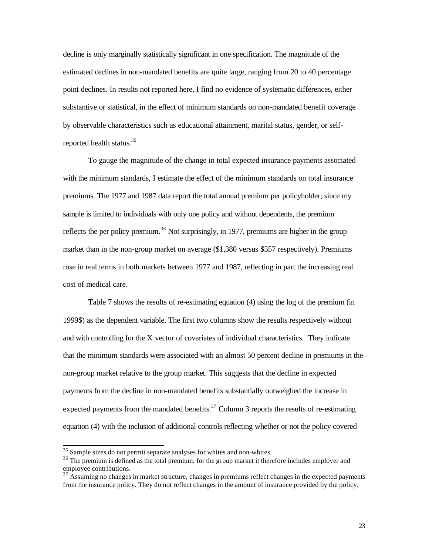decline is only marginally statistically significant in one specification. The magnitude of the estimated declines in non-mandated benefits are quite large, ranging from 20 to 40 percentage point declines. In results not reported here, I find no evidence of systematic differences, either substantive or statistical, in the effect of minimum standards on non-mandated benefit coverage by observable characteristics such as educational attainment, marital status, gender, or selfreported health status. $35$ 

To gauge the magnitude of the change in total expected insurance payments associated with the minimum standards, I estimate the effect of the minimum standards on total insurance premiums. The 1977 and 1987 data report the total annual premium per policyholder; since my sample is limited to individuals with only one policy and without dependents, the premium reflects the per policy premium.<sup>36</sup> Not surprisingly, in 1977, premiums are higher in the group market than in the non-group market on average (\$1,380 versus \$557 respectively). Premiums rose in real terms in both markets between 1977 and 1987, reflecting in part the increasing real cost of medical care.

Table 7 shows the results of re-estimating equation (4) using the log of the premium (in 1999\$) as the dependent variable. The first two columns show the results respectively without and with controlling for the X vector of covariates of individual characteristics. They indicate that the minimum standards were associated with an almost 50 percent decline in premiums in the non-group market relative to the group market. This suggests that the decline in expected payments from the decline in non-mandated benefits substantially outweighed the increase in expected payments from the mandated benefits.<sup>37</sup> Column 3 reports the results of re-estimating equation (4) with the inclusion of additional controls reflecting whether or not the policy covered

 $35$  Sample sizes do not permit separate analyses for whites and non-whites.

<sup>&</sup>lt;sup>36</sup> The premium is defined as the total premium; for the group market it therefore includes employer and employee contributions.

 $37$  Assuming no changes in market structure, changes in premiums reflect changes in the expected payments from the insurance policy. They do not reflect changes in the amount of insurance provided by the policy,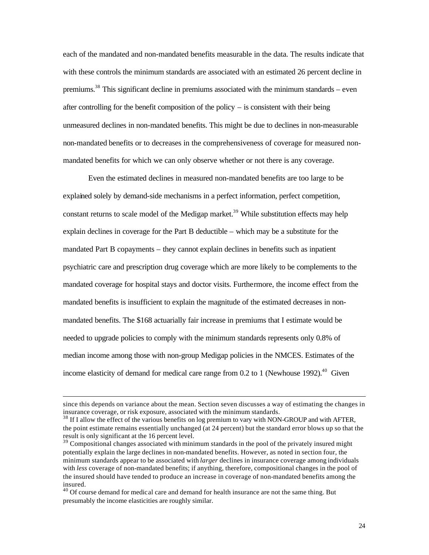each of the mandated and non-mandated benefits measurable in the data. The results indicate that with these controls the minimum standards are associated with an estimated 26 percent decline in premiums.<sup>38</sup> This significant decline in premiums associated with the minimum standards – even after controlling for the benefit composition of the policy – is consistent with their being unmeasured declines in non-mandated benefits. This might be due to declines in non-measurable non-mandated benefits or to decreases in the comprehensiveness of coverage for measured nonmandated benefits for which we can only observe whether or not there is any coverage.

Even the estimated declines in measured non-mandated benefits are too large to be explained solely by demand-side mechanisms in a perfect information, perfect competition, constant returns to scale model of the Medigap market.<sup>39</sup> While substitution effects may help explain declines in coverage for the Part B deductible – which may be a substitute for the mandated Part B copayments – they cannot explain declines in benefits such as inpatient psychiatric care and prescription drug coverage which are more likely to be complements to the mandated coverage for hospital stays and doctor visits. Furthermore, the income effect from the mandated benefits is insufficient to explain the magnitude of the estimated decreases in nonmandated benefits. The \$168 actuarially fair increase in premiums that I estimate would be needed to upgrade policies to comply with the minimum standards represents only 0.8% of median income among those with non-group Medigap policies in the NMCES. Estimates of the income elasticity of demand for medical care range from  $0.2$  to 1 (Newhouse 1992).<sup>40</sup> Given

since this depends on variance about the mean. Section seven discusses a way of estimating the changes in insurance coverage, or risk exposure, associated with the minimum standards.

<sup>&</sup>lt;sup>38</sup> If I allow the effect of the various benefits on log premium to vary with NON-GROUP and with AFTER, the point estimate remains essentially unchanged (at 24 percent) but the standard error blows up so that the result is only significant at the 16 percent level.

<sup>&</sup>lt;sup>39</sup> Compositional changes associated with minimum standards in the pool of the privately insured might potentially explain the large declines in non-mandated benefits. However, as noted in section four, the minimum standards appear to be associated with *larger* declines in insurance coverage among individuals with *less* coverage of non-mandated benefits; if anything, therefore, compositional changes in the pool of the insured should have tended to produce an increase in coverage of non-mandated benefits among the insured.

<sup>&</sup>lt;sup>40</sup> Of course demand for medical care and demand for health insurance are not the same thing. But presumably the income elasticities are roughly similar.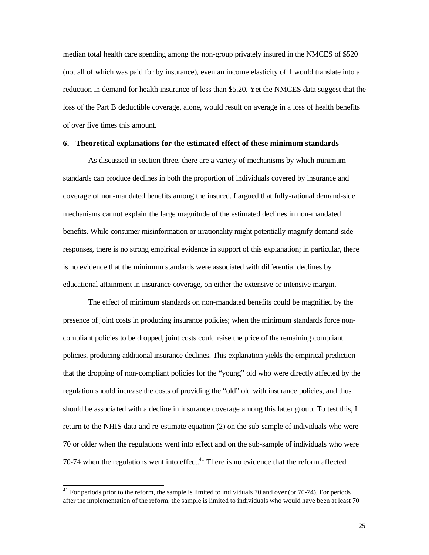median total health care spending among the non-group privately insured in the NMCES of \$520 (not all of which was paid for by insurance), even an income elasticity of 1 would translate into a reduction in demand for health insurance of less than \$5.20. Yet the NMCES data suggest that the loss of the Part B deductible coverage, alone, would result on average in a loss of health benefits of over five times this amount.

#### **6. Theoretical explanations for the estimated effect of these minimum standards**

As discussed in section three, there are a variety of mechanisms by which minimum standards can produce declines in both the proportion of individuals covered by insurance and coverage of non-mandated benefits among the insured. I argued that fully-rational demand-side mechanisms cannot explain the large magnitude of the estimated declines in non-mandated benefits. While consumer misinformation or irrationality might potentially magnify demand-side responses, there is no strong empirical evidence in support of this explanation; in particular, there is no evidence that the minimum standards were associated with differential declines by educational attainment in insurance coverage, on either the extensive or intensive margin.

The effect of minimum standards on non-mandated benefits could be magnified by the presence of joint costs in producing insurance policies; when the minimum standards force noncompliant policies to be dropped, joint costs could raise the price of the remaining compliant policies, producing additional insurance declines. This explanation yields the empirical prediction that the dropping of non-compliant policies for the "young" old who were directly affected by the regulation should increase the costs of providing the "old" old with insurance policies, and thus should be associated with a decline in insurance coverage among this latter group. To test this, I return to the NHIS data and re-estimate equation (2) on the sub-sample of individuals who were 70 or older when the regulations went into effect and on the sub-sample of individuals who were 70-74 when the regulations went into effect. $41$  There is no evidence that the reform affected

 $41$  For periods prior to the reform, the sample is limited to individuals 70 and over (or 70-74). For periods after the implementation of the reform, the sample is limited to individuals who would have been at least 70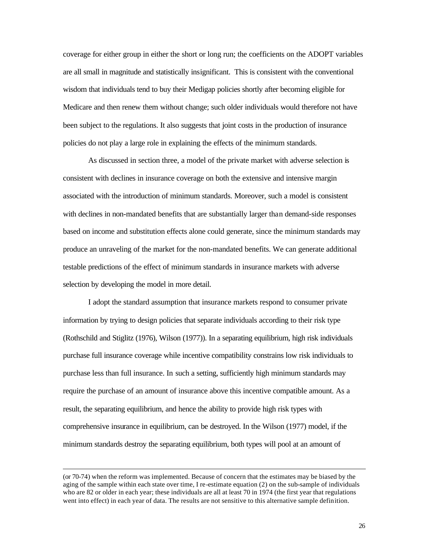coverage for either group in either the short or long run; the coefficients on the ADOPT variables are all small in magnitude and statistically insignificant. This is consistent with the conventional wisdom that individuals tend to buy their Medigap policies shortly after becoming eligible for Medicare and then renew them without change; such older individuals would therefore not have been subject to the regulations. It also suggests that joint costs in the production of insurance policies do not play a large role in explaining the effects of the minimum standards.

As discussed in section three, a model of the private market with adverse selection is consistent with declines in insurance coverage on both the extensive and intensive margin associated with the introduction of minimum standards. Moreover, such a model is consistent with declines in non-mandated benefits that are substantially larger than demand-side responses based on income and substitution effects alone could generate, since the minimum standards may produce an unraveling of the market for the non-mandated benefits. We can generate additional testable predictions of the effect of minimum standards in insurance markets with adverse selection by developing the model in more detail.

I adopt the standard assumption that insurance markets respond to consumer private information by trying to design policies that separate individuals according to their risk type (Rothschild and Stiglitz (1976), Wilson (1977)). In a separating equilibrium, high risk individuals purchase full insurance coverage while incentive compatibility constrains low risk individuals to purchase less than full insurance. In such a setting, sufficiently high minimum standards may require the purchase of an amount of insurance above this incentive compatible amount. As a result, the separating equilibrium, and hence the ability to provide high risk types with comprehensive insurance in equilibrium, can be destroyed. In the Wilson (1977) model, if the minimum standards destroy the separating equilibrium, both types will pool at an amount of

<sup>(</sup>or 70-74) when the reform was implemented. Because of concern that the estimates may be biased by the aging of the sample within each state over time, I re-estimate equation (2) on the sub-sample of individuals who are 82 or older in each year; these individuals are all at least 70 in 1974 (the first year that regulations went into effect) in each year of data. The results are not sensitive to this alternative sample definition.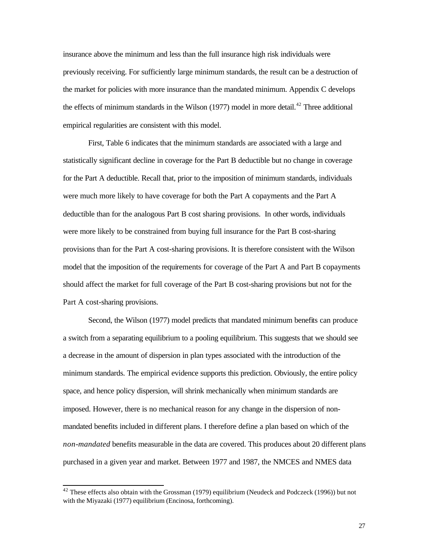insurance above the minimum and less than the full insurance high risk individuals were previously receiving. For sufficiently large minimum standards, the result can be a destruction of the market for policies with more insurance than the mandated minimum. Appendix C develops the effects of minimum standards in the Wilson  $(1977)$  model in more detail.<sup>42</sup> Three additional empirical regularities are consistent with this model.

First, Table 6 indicates that the minimum standards are associated with a large and statistically significant decline in coverage for the Part B deductible but no change in coverage for the Part A deductible. Recall that, prior to the imposition of minimum standards, individuals were much more likely to have coverage for both the Part A copayments and the Part A deductible than for the analogous Part B cost sharing provisions. In other words, individuals were more likely to be constrained from buying full insurance for the Part B cost-sharing provisions than for the Part A cost-sharing provisions. It is therefore consistent with the Wilson model that the imposition of the requirements for coverage of the Part A and Part B copayments should affect the market for full coverage of the Part B cost-sharing provisions but not for the Part A cost-sharing provisions.

Second, the Wilson (1977) model predicts that mandated minimum benefits can produce a switch from a separating equilibrium to a pooling equilibrium. This suggests that we should see a decrease in the amount of dispersion in plan types associated with the introduction of the minimum standards. The empirical evidence supports this prediction. Obviously, the entire policy space, and hence policy dispersion, will shrink mechanically when minimum standards are imposed. However, there is no mechanical reason for any change in the dispersion of nonmandated benefits included in different plans. I therefore define a plan based on which of the *non-mandated* benefits measurable in the data are covered. This produces about 20 different plans purchased in a given year and market. Between 1977 and 1987, the NMCES and NMES data

 $42$  These effects also obtain with the Grossman (1979) equilibrium (Neudeck and Podczeck (1996)) but not with the Miyazaki (1977) equilibrium (Encinosa, forthcoming).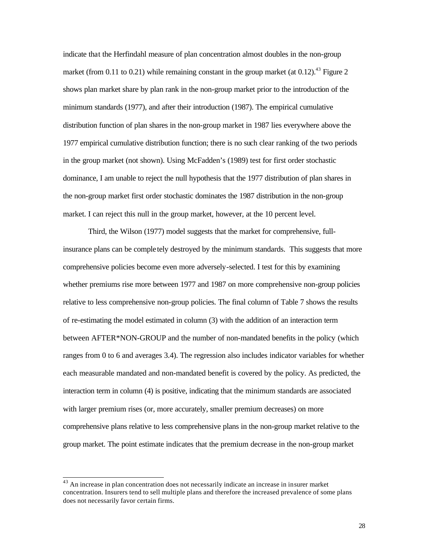indicate that the Herfindahl measure of plan concentration almost doubles in the non-group market (from 0.11 to 0.21) while remaining constant in the group market (at 0.12).<sup>43</sup> Figure 2 shows plan market share by plan rank in the non-group market prior to the introduction of the minimum standards (1977), and after their introduction (1987). The empirical cumulative distribution function of plan shares in the non-group market in 1987 lies everywhere above the 1977 empirical cumulative distribution function; there is no such clear ranking of the two periods in the group market (not shown). Using McFadden's (1989) test for first order stochastic dominance, I am unable to reject the null hypothesis that the 1977 distribution of plan shares in the non-group market first order stochastic dominates the 1987 distribution in the non-group market. I can reject this null in the group market, however, at the 10 percent level.

Third, the Wilson (1977) model suggests that the market for comprehensive, fullinsurance plans can be comple tely destroyed by the minimum standards. This suggests that more comprehensive policies become even more adversely-selected. I test for this by examining whether premiums rise more between 1977 and 1987 on more comprehensive non-group policies relative to less comprehensive non-group policies. The final column of Table 7 shows the results of re-estimating the model estimated in column (3) with the addition of an interaction term between AFTER\*NON-GROUP and the number of non-mandated benefits in the policy (which ranges from 0 to 6 and averages 3.4). The regression also includes indicator variables for whether each measurable mandated and non-mandated benefit is covered by the policy. As predicted, the interaction term in column (4) is positive, indicating that the minimum standards are associated with larger premium rises (or, more accurately, smaller premium decreases) on more comprehensive plans relative to less comprehensive plans in the non-group market relative to the group market. The point estimate indicates that the premium decrease in the non-group market

 $43$  An increase in plan concentration does not necessarily indicate an increase in insurer market concentration. Insurers tend to sell multiple plans and therefore the increased prevalence of some plans does not necessarily favor certain firms.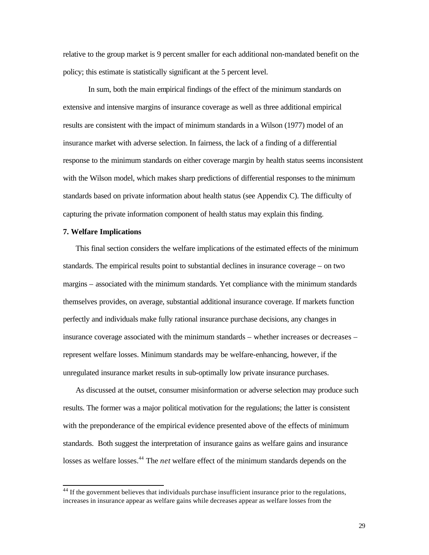relative to the group market is 9 percent smaller for each additional non-mandated benefit on the policy; this estimate is statistically significant at the 5 percent level.

In sum, both the main empirical findings of the effect of the minimum standards on extensive and intensive margins of insurance coverage as well as three additional empirical results are consistent with the impact of minimum standards in a Wilson (1977) model of an insurance market with adverse selection. In fairness, the lack of a finding of a differential response to the minimum standards on either coverage margin by health status seems inconsistent with the Wilson model, which makes sharp predictions of differential responses to the minimum standards based on private information about health status (see Appendix C). The difficulty of capturing the private information component of health status may explain this finding.

# **7. Welfare Implications**

l

This final section considers the welfare implications of the estimated effects of the minimum standards. The empirical results point to substantial declines in insurance coverage – on two margins – associated with the minimum standards. Yet compliance with the minimum standards themselves provides, on average, substantial additional insurance coverage. If markets function perfectly and individuals make fully rational insurance purchase decisions, any changes in insurance coverage associated with the minimum standards – whether increases or decreases – represent welfare losses. Minimum standards may be welfare-enhancing, however, if the unregulated insurance market results in sub-optimally low private insurance purchases.

As discussed at the outset, consumer misinformation or adverse selection may produce such results. The former was a major political motivation for the regulations; the latter is consistent with the preponderance of the empirical evidence presented above of the effects of minimum standards. Both suggest the interpretation of insurance gains as welfare gains and insurance losses as welfare losses.<sup>44</sup> The *net* welfare effect of the minimum standards depends on the

 $44$  If the government believes that individuals purchase insufficient insurance prior to the regulations, increases in insurance appear as welfare gains while decreases appear as welfare losses from the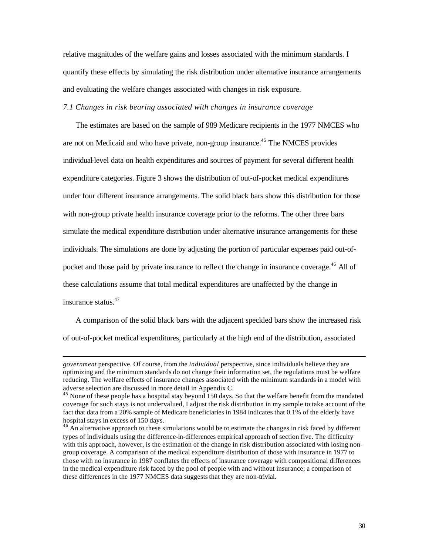relative magnitudes of the welfare gains and losses associated with the minimum standards. I quantify these effects by simulating the risk distribution under alternative insurance arrangements and evaluating the welfare changes associated with changes in risk exposure.

#### *7.1 Changes in risk bearing associated with changes in insurance coverage*

The estimates are based on the sample of 989 Medicare recipients in the 1977 NMCES who are not on Medicaid and who have private, non-group insurance.<sup>45</sup> The NMCES provides individual-level data on health expenditures and sources of payment for several different health expenditure categories. Figure 3 shows the distribution of out-of-pocket medical expenditures under four different insurance arrangements. The solid black bars show this distribution for those with non-group private health insurance coverage prior to the reforms. The other three bars simulate the medical expenditure distribution under alternative insurance arrangements for these individuals. The simulations are done by adjusting the portion of particular expenses paid out-ofpocket and those paid by private insurance to reflect the change in insurance coverage.<sup>46</sup> All of these calculations assume that total medical expenditures are unaffected by the change in insurance status.<sup>47</sup>

A comparison of the solid black bars with the adjacent speckled bars show the increased risk of out-of-pocket medical expenditures, particularly at the high end of the distribution, associated

*government* perspective. Of course, from the *individual* perspective, since individuals believe they are optimizing and the minimum standards do not change their information set, the regulations must be welfare reducing. The welfare effects of insurance changes associated with the minimum standards in a model with adverse selection are discussed in more detail in Appendix C.

 $45$  None of these people has a hospital stay beyond 150 days. So that the welfare benefit from the mandated coverage for such stays is not undervalued, I adjust the risk distribution in my sample to take account of the fact that data from a 20% sample of Medicare beneficiaries in 1984 indicates that 0.1% of the elderly have hospital stays in excess of 150 days.

 $46$  An alternative approach to these simulations would be to estimate the changes in risk faced by different types of individuals using the difference-in-differences empirical approach of section five. The difficulty with this approach, however, is the estimation of the change in risk distribution associated with losing nongroup coverage. A comparison of the medical expenditure distribution of those with insurance in 1977 to those with no insurance in 1987 conflates the effects of insurance coverage with compositional differences in the medical expenditure risk faced by the pool of people with and without insurance; a comparison of these differences in the 1977 NMCES data suggests that they are non-trivial.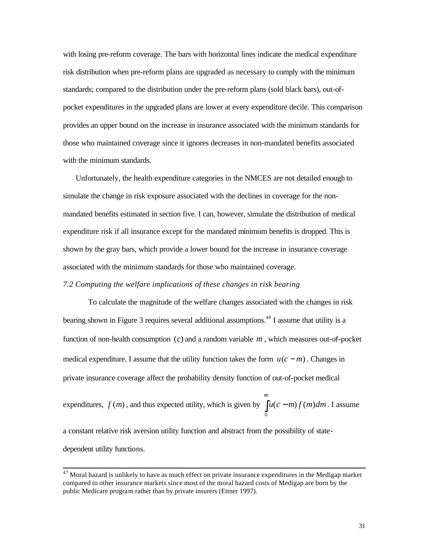with losing pre-reform coverage. The bars with horizontal lines indicate the medical expenditure risk distribution when pre-reform plans are upgraded as necessary to comply with the minimum standards; compared to the distribution under the pre-reform plans (sold black bars), out-ofpocket expenditures in the upgraded plans are lower at every expenditure decile. This comparison provides an upper bound on the increase in insurance associated with the minimum standards for those who maintained coverage since it ignores decreases in non-mandated benefits associated with the minimum standards.

Unfortunately, the health expenditure categories in the NMCES are not detailed enough to simulate the change in risk exposure associated with the declines in coverage for the nonmandated benefits estimated in section five. I can, however, simulate the distribution of medical expenditure risk if all insurance except for the mandated minimum benefits is dropped. This is shown by the gray bars, which provide a lower bound for the increase in insurance coverage associated with the minimum standards for those who maintained coverage.

# *7.2 Computing the welfare implications of these changes in risk bearing*

To calculate the magnitude of the welfare changes associated with the changes in risk bearing shown in Figure 3 requires several additional assumptions.<sup>48</sup> I assume that utility is a function of non-health consumption (*c*) and a random variable *m* , which measures out-of-pocket medical expenditure. I assume that the utility function takes the form  $u(c - m)$ . Changes in private insurance coverage affect the probability density function of out-of-pocket medical

expenditures,  $f(m)$ , and thus expected utility, which is given by  $\int u(c$ *m*  $u(c-m)f(m)dm$ 0  $(c - m) f ( m ) dm$ . I assume

a constant relative risk aversion utility function and abstract from the possibility of statedependent utility functions.

 $47$  Moral hazard is unlikely to have as much effect on private insurance expenditures in the Medigap market compared to other insurance markets since most of the moral hazard costs of Medigap are born by the public Medicare program rather than by private insurers (Ettner 1997).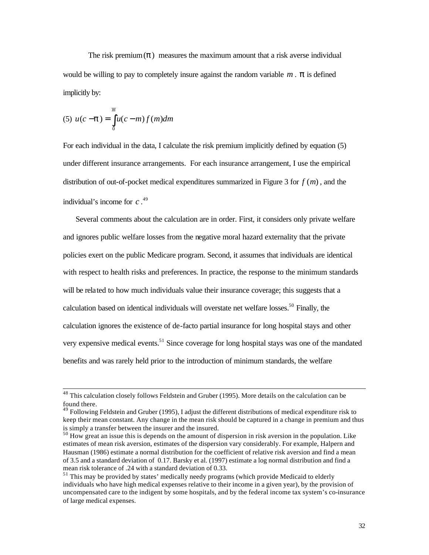The risk premium $(p)$  measures the maximum amount that a risk averse individual would be willing to pay to completely insure against the random variable  $m \cdot \mathbf{p}$  is defined implicitly by:

(5) 
$$
u(c - \mathbf{p}) = \int_{0}^{\overline{m}} u(c - m) f(m) dm
$$

l

For each individual in the data, I calculate the risk premium implicitly defined by equation (5) under different insurance arrangements. For each insurance arrangement, I use the empirical distribution of out-of-pocket medical expenditures summarized in Figure 3 for *f* (*m*) , and the individual's income for *c* . 49

Several comments about the calculation are in order. First, it considers only private welfare and ignores public welfare losses from the negative moral hazard externality that the private policies exert on the public Medicare program. Second, it assumes that individuals are identical with respect to health risks and preferences. In practice, the response to the minimum standards will be related to how much individuals value their insurance coverage; this suggests that a calculation based on identical individuals will overstate net welfare losses.<sup>50</sup> Finally, the calculation ignores the existence of de-facto partial insurance for long hospital stays and other very expensive medical events.<sup>51</sup> Since coverage for long hospital stays was one of the mandated benefits and was rarely held prior to the introduction of minimum standards, the welfare

 $^{48}$  This calculation closely follows Feldstein and Gruber (1995). More details on the calculation can be found there.

<sup>&</sup>lt;sup>49</sup> Following Feldstein and Gruber (1995), I adjust the different distributions of medical expenditure risk to keep their mean constant. Any change in the mean risk should be captured in a change in premium and thus is simply a transfer between the insurer and the insured.

 $50$  How great an issue this is depends on the amount of dispersion in risk aversion in the population. Like estimates of mean risk aversion, estimates of the dispersion vary considerably. For example, Halpern and Hausman (1986) estimate a normal distribution for the coefficient of relative risk aversion and find a mean of 3.5 and a standard deviation of 0.17. Barsky et al. (1997) estimate a log normal distribution and find a mean risk tolerance of .24 with a standard deviation of 0.33.

 $<sup>51</sup>$  This may be provided by states' medically needy programs (which provide Medicaid to elderly</sup> individuals who have high medical expenses relative to their income in a given year), by the provision of uncompensated care to the indigent by some hospitals, and by the federal income tax system's co-insurance of large medical expenses.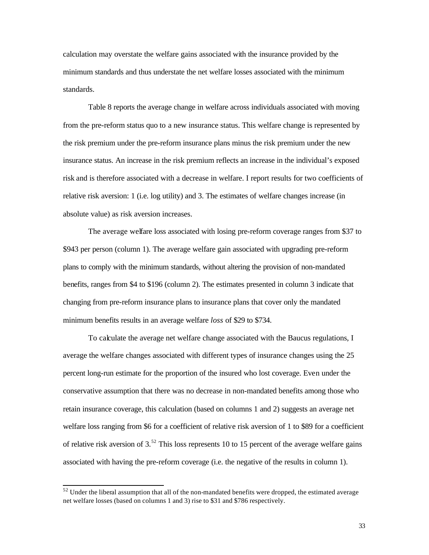calculation may overstate the welfare gains associated with the insurance provided by the minimum standards and thus understate the net welfare losses associated with the minimum standards.

Table 8 reports the average change in welfare across individuals associated with moving from the pre-reform status quo to a new insurance status. This welfare change is represented by the risk premium under the pre-reform insurance plans minus the risk premium under the new insurance status. An increase in the risk premium reflects an increase in the individual's exposed risk and is therefore associated with a decrease in welfare. I report results for two coefficients of relative risk aversion: 1 (i.e. log utility) and 3. The estimates of welfare changes increase (in absolute value) as risk aversion increases.

The average welfare loss associated with losing pre-reform coverage ranges from \$37 to \$943 per person (column 1). The average welfare gain associated with upgrading pre-reform plans to comply with the minimum standards, without altering the provision of non-mandated benefits, ranges from \$4 to \$196 (column 2). The estimates presented in column 3 indicate that changing from pre-reform insurance plans to insurance plans that cover only the mandated minimum benefits results in an average welfare *loss* of \$29 to \$734.

To calculate the average net welfare change associated with the Baucus regulations, I average the welfare changes associated with different types of insurance changes using the 25 percent long-run estimate for the proportion of the insured who lost coverage. Even under the conservative assumption that there was no decrease in non-mandated benefits among those who retain insurance coverage, this calculation (based on columns 1 and 2) suggests an average net welfare loss ranging from \$6 for a coefficient of relative risk aversion of 1 to \$89 for a coefficient of relative risk aversion of  $3^{52}$ . This loss represents 10 to 15 percent of the average welfare gains associated with having the pre-reform coverage (i.e. the negative of the results in column 1).

 $52$  Under the liberal assumption that all of the non-mandated benefits were dropped, the estimated average net welfare losses (based on columns 1 and 3) rise to \$31 and \$786 respectively.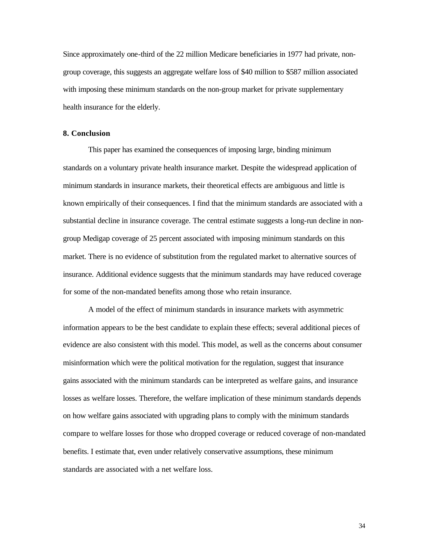Since approximately one-third of the 22 million Medicare beneficiaries in 1977 had private, nongroup coverage, this suggests an aggregate welfare loss of \$40 million to \$587 million associated with imposing these minimum standards on the non-group market for private supplementary health insurance for the elderly.

#### **8. Conclusion**

This paper has examined the consequences of imposing large, binding minimum standards on a voluntary private health insurance market. Despite the widespread application of minimum standards in insurance markets, their theoretical effects are ambiguous and little is known empirically of their consequences. I find that the minimum standards are associated with a substantial decline in insurance coverage. The central estimate suggests a long-run decline in nongroup Medigap coverage of 25 percent associated with imposing minimum standards on this market. There is no evidence of substitution from the regulated market to alternative sources of insurance. Additional evidence suggests that the minimum standards may have reduced coverage for some of the non-mandated benefits among those who retain insurance.

A model of the effect of minimum standards in insurance markets with asymmetric information appears to be the best candidate to explain these effects; several additional pieces of evidence are also consistent with this model. This model, as well as the concerns about consumer misinformation which were the political motivation for the regulation, suggest that insurance gains associated with the minimum standards can be interpreted as welfare gains, and insurance losses as welfare losses. Therefore, the welfare implication of these minimum standards depends on how welfare gains associated with upgrading plans to comply with the minimum standards compare to welfare losses for those who dropped coverage or reduced coverage of non-mandated benefits. I estimate that, even under relatively conservative assumptions, these minimum standards are associated with a net welfare loss.

34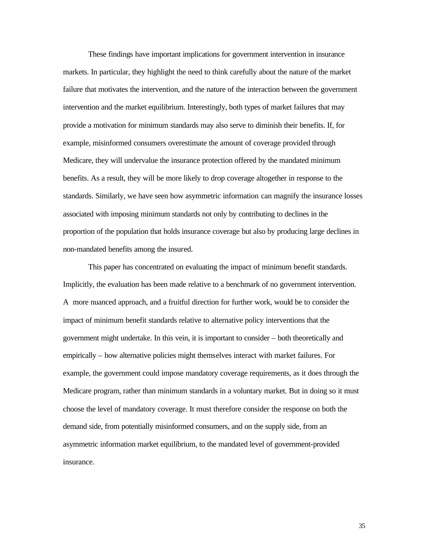These findings have important implications for government intervention in insurance markets. In particular, they highlight the need to think carefully about the nature of the market failure that motivates the intervention, and the nature of the interaction between the government intervention and the market equilibrium. Interestingly, both types of market failures that may provide a motivation for minimum standards may also serve to diminish their benefits. If, for example, misinformed consumers overestimate the amount of coverage provided through Medicare, they will undervalue the insurance protection offered by the mandated minimum benefits. As a result, they will be more likely to drop coverage altogether in response to the standards. Similarly, we have seen how asymmetric information can magnify the insurance losses associated with imposing minimum standards not only by contributing to declines in the proportion of the population that holds insurance coverage but also by producing large declines in non-mandated benefits among the insured.

This paper has concentrated on evaluating the impact of minimum benefit standards. Implicitly, the evaluation has been made relative to a benchmark of no government intervention. A more nuanced approach, and a fruitful direction for further work, would be to consider the impact of minimum benefit standards relative to alternative policy interventions that the government might undertake. In this vein, it is important to consider – both theoretically and empirically – how alternative policies might themselves interact with market failures. For example, the government could impose mandatory coverage requirements, as it does through the Medicare program, rather than minimum standards in a voluntary market. But in doing so it must choose the level of mandatory coverage. It must therefore consider the response on both the demand side, from potentially misinformed consumers, and on the supply side, from an asymmetric information market equilibrium, to the mandated level of government-provided insurance.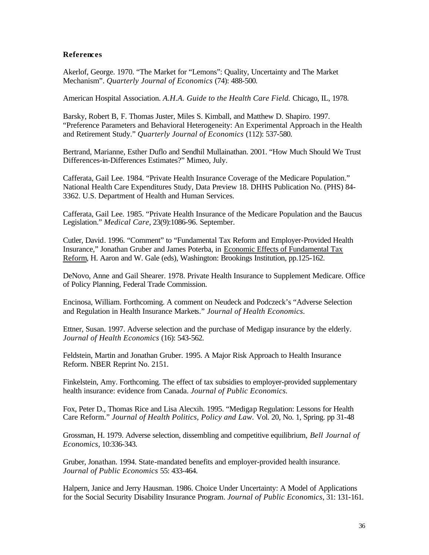# **References**

Akerlof, George. 1970. "The Market for "Lemons": Quality, Uncertainty and The Market Mechanism". *Quarterly Journal of Economics* (74): 488-500.

American Hospital Association. *A.H.A. Guide to the Health Care Field.* Chicago, IL, 1978.

Barsky, Robert B, F. Thomas Juster, Miles S. Kimball, and Matthew D. Shapiro. 1997. "Preference Parameters and Behavioral Heterogeneity: An Experimental Approach in the Health and Retirement Study." *Quarterly Journal of Economics* (112): 537-580.

Bertrand, Marianne, Esther Duflo and Sendhil Mullainathan. 2001. "How Much Should We Trust Differences-in-Differences Estimates?" Mimeo, July.

Cafferata, Gail Lee. 1984. "Private Health Insurance Coverage of the Medicare Population." National Health Care Expenditures Study, Data Preview 18. DHHS Publication No. (PHS) 84- 3362. U.S. Department of Health and Human Services.

Cafferata, Gail Lee. 1985. "Private Health Insurance of the Medicare Population and the Baucus Legislation." *Medical Care*, 23(9):1086-96. September.

Cutler, David. 1996. "Comment" to "Fundamental Tax Reform and Employer-Provided Health Insurance," Jonathan Gruber and James Poterba, in Economic Effects of Fundamental Tax Reform, H. Aaron and W. Gale (eds), Washington: Brookings Institution, pp.125-162.

DeNovo, Anne and Gail Shearer. 1978. Private Health Insurance to Supplement Medicare. Office of Policy Planning, Federal Trade Commission.

Encinosa, William. Forthcoming. A comment on Neudeck and Podczeck's "Adverse Selection and Regulation in Health Insurance Markets." *Journal of Health Economics.*

Ettner, Susan. 1997. Adverse selection and the purchase of Medigap insurance by the elderly. *Journal of Health Economics* (16): 543-562.

Feldstein, Martin and Jonathan Gruber. 1995. A Major Risk Approach to Health Insurance Reform. NBER Reprint No. 2151.

Finkelstein, Amy. Forthcoming. The effect of tax subsidies to employer-provided supplementary health insurance: evidence from Canada. *Journal of Public Economics.*

Fox, Peter D., Thomas Rice and Lisa Alecxih. 1995. "Medigap Regulation: Lessons for Health Care Reform." *Journal of Health Politics, Policy and Law.* Vol. 20, No. 1, Spring. pp 31-48

Grossman, H. 1979. Adverse selection, dissembling and competitive equilibrium, *Bell Journal of Economics*, 10:336-343.

Gruber, Jonathan. 1994. State-mandated benefits and employer-provided health insurance. *Journal of Public Economics* 55: 433-464.

Halpern, Janice and Jerry Hausman. 1986. Choice Under Uncertainty: A Model of Applications for the Social Security Disability Insurance Program. *Journal of Public Economics*, 31: 131-161.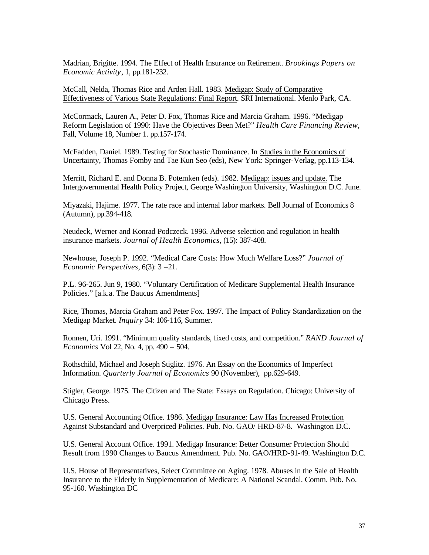Madrian, Brigitte. 1994. The Effect of Health Insurance on Retirement. *Brookings Papers on Economic Activity*, 1, pp.181-232.

McCall, Nelda, Thomas Rice and Arden Hall. 1983. Medigap: Study of Comparative Effectiveness of Various State Regulations: Final Report. SRI International. Menlo Park, CA.

McCormack, Lauren A., Peter D. Fox, Thomas Rice and Marcia Graham. 1996. "Medigap Reform Legislation of 1990: Have the Objectives Been Met?" *Health Care Financing Review*, Fall, Volume 18, Number 1. pp.157-174.

McFadden, Daniel. 1989. Testing for Stochastic Dominance. In Studies in the Economics of Uncertainty, Thomas Fomby and Tae Kun Seo (eds), New York: Springer-Verlag, pp.113-134.

Merritt, Richard E. and Donna B. Potemken (eds). 1982. Medigap: issues and update. The Intergovernmental Health Policy Project, George Washington University, Washington D.C. June.

Miyazaki, Hajime. 1977. The rate race and internal labor markets. Bell Journal of Economics 8 (Autumn), pp.394-418.

Neudeck, Werner and Konrad Podczeck. 1996. Adverse selection and regulation in health insurance markets. *Journal of Health Economics*, (15): 387-408.

Newhouse, Joseph P. 1992. "Medical Care Costs: How Much Welfare Loss?" *Journal of Economic Perspectives*, 6(3): 3 –21.

P.L. 96-265. Jun 9, 1980. "Voluntary Certification of Medicare Supplemental Health Insurance Policies." [a.k.a. The Baucus Amendments]

Rice, Thomas, Marcia Graham and Peter Fox. 1997. The Impact of Policy Standardization on the Medigap Market. *Inquiry* 34: 106-116, Summer.

Ronnen, Uri. 1991. "Minimum quality standards, fixed costs, and competition." *RAND Journal of Economics* Vol 22, No. 4, pp. 490 – 504.

Rothschild, Michael and Joseph Stiglitz. 1976. An Essay on the Economics of Imperfect Information. *Quarterly Journal of Economics* 90 (November), pp.629-649.

Stigler, George. 1975. The Citizen and The State: Essays on Regulation. Chicago: University of Chicago Press.

U.S. General Accounting Office. 1986. Medigap Insurance: Law Has Increased Protection Against Substandard and Overpriced Policies. Pub. No. GAO/ HRD-87-8. Washington D.C.

U.S. General Account Office. 1991. Medigap Insurance: Better Consumer Protection Should Result from 1990 Changes to Baucus Amendment. Pub. No. GAO/HRD-91-49. Washington D.C.

U.S. House of Representatives, Select Committee on Aging. 1978. Abuses in the Sale of Health Insurance to the Elderly in Supplementation of Medicare: A National Scandal. Comm. Pub. No. 95-160. Washington DC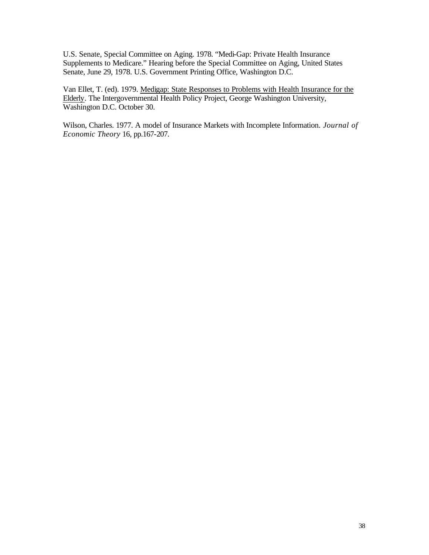U.S. Senate, Special Committee on Aging. 1978. "Medi-Gap: Private Health Insurance Supplements to Medicare." Hearing before the Special Committee on Aging, United States Senate, June 29, 1978. U.S. Government Printing Office, Washington D.C.

Van Ellet, T. (ed). 1979. Medigap: State Responses to Problems with Health Insurance for the Elderly. The Intergovernmental Health Policy Project, George Washington University, Washington D.C. October 30.

Wilson, Charles. 1977. A model of Insurance Markets with Incomplete Information. *Journal of Economic Theory* 16, pp.167-207.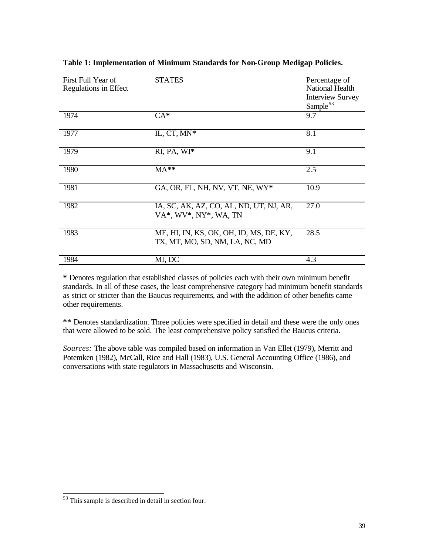| First Full Year of    | <b>STATES</b>                                                             | Percentage of           |
|-----------------------|---------------------------------------------------------------------------|-------------------------|
| Regulations in Effect |                                                                           | National Health         |
|                       |                                                                           | <b>Interview Survey</b> |
|                       |                                                                           | Sample <sup>53</sup>    |
| 1974                  | $CA^*$                                                                    | 9.7                     |
| 1977                  | IL, CT, MN*                                                               | 8.1                     |
| 1979                  | RI, PA, WI*                                                               | 9.1                     |
| 1980                  | $MA**$                                                                    | 2.5                     |
| 1981                  | GA, OR, FL, NH, NV, VT, NE, WY*                                           | 10.9                    |
| 1982                  | IA, SC, AK, AZ, CO, AL, ND, UT, NJ, AR,<br>VA*, WV*, NY*, WA, TN          | 27.0                    |
| 1983                  | ME, HI, IN, KS, OK, OH, ID, MS, DE, KY,<br>TX, MT, MO, SD, NM, LA, NC, MD | 28.5                    |
| 1984                  | MI, DC                                                                    | 4.3                     |

# **Table 1: Implementation of Minimum Standards for Non-Group Medigap Policies.**

**\*** Denotes regulation that established classes of policies each with their own minimum benefit standards. In all of these cases, the least comprehensive category had minimum benefit standards as strict or stricter than the Baucus requirements, and with the addition of other benefits came other requirements.

**\*\*** Denotes standardization. Three policies were specified in detail and these were the only ones that were allowed to be sold. The least comprehensive policy satisfied the Baucus criteria.

*Sources:* The above table was compiled based on information in Van Ellet (1979), Merritt and Potemken (1982), McCall, Rice and Hall (1983), U.S. General Accounting Office (1986), and conversations with state regulators in Massachusetts and Wisconsin.

<sup>&</sup>lt;sup>53</sup> This sample is described in detail in section four.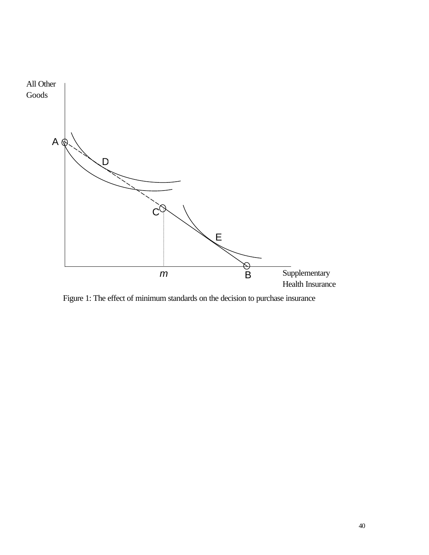

Figure 1: The effect of minimum standards on the decision to purchase insurance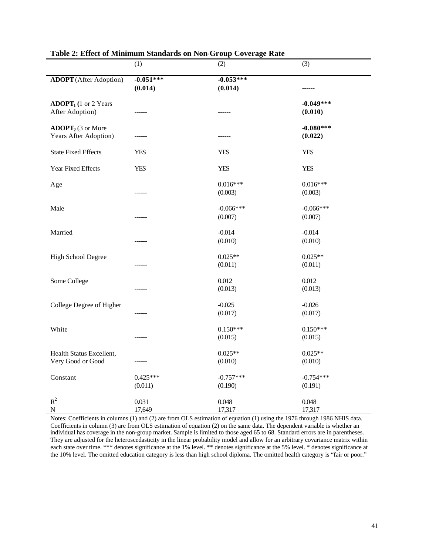|                               | (1)         | (2)              | (3)         |
|-------------------------------|-------------|------------------|-------------|
| <b>ADOPT</b> (After Adoption) | $-0.051***$ | $-0.053***$      |             |
|                               | (0.014)     | (0.014)          |             |
|                               |             |                  |             |
| $ADOPT1$ (1 or 2 Years        |             |                  | $-0.049***$ |
| After Adoption)               |             |                  | (0.010)     |
| $\bf{ADOPT}_2$ (3 or More     |             |                  | $-0.080***$ |
| Years After Adoption)         |             |                  | (0.022)     |
|                               |             |                  |             |
| <b>State Fixed Effects</b>    | <b>YES</b>  | <b>YES</b>       | <b>YES</b>  |
|                               |             |                  |             |
| Year Fixed Effects            | <b>YES</b>  | <b>YES</b>       | <b>YES</b>  |
| Age                           |             | $0.016***$       | $0.016***$  |
|                               |             | (0.003)          | (0.003)     |
|                               |             |                  |             |
| Male                          |             | $-0.066***$      | $-0.066***$ |
|                               |             | (0.007)          | (0.007)     |
| Married                       |             | $-0.014$         | $-0.014$    |
|                               |             | (0.010)          | (0.010)     |
|                               |             |                  |             |
| High School Degree            |             | $0.025**$        | $0.025**$   |
|                               |             | (0.011)          | (0.011)     |
|                               |             |                  | 0.012       |
| Some College                  |             | 0.012<br>(0.013) | (0.013)     |
|                               |             |                  |             |
| College Degree of Higher      |             | $-0.025$         | $-0.026$    |
|                               |             | (0.017)          | (0.017)     |
|                               |             |                  |             |
| White                         |             | $0.150***$       | $0.150***$  |
|                               |             | (0.015)          | (0.015)     |
| Health Status Excellent,      |             | $0.025**$        | $0.025**$   |
| Very Good or Good             |             | (0.010)          | (0.010)     |
|                               |             |                  |             |
| Constant                      | $0.425***$  | $-0.757***$      | $-0.754***$ |
|                               | (0.011)     | (0.190)          | (0.191)     |
| $R^2$                         | 0.031       | 0.048            | 0.048       |
| $\mathbf N$                   | 17,649      | 17,317           | 17,317      |

# **Table 2: Effect of Minimum Standards on Non-Group Coverage Rate**

Notes: Coefficients in columns (1) and (2) are from OLS estimation of equation (1) using the 1976 through 1986 NHIS data. Coefficients in column (3) are from OLS estimation of equation (2) on the same data. The dependent variable is whether an individual has coverage in the non-group market. Sample is limited to those aged 65 to 68. Standard errors are in parentheses. They are adjusted for the heteroscedasticity in the linear probability model and allow for an arbitrary covariance matrix within each state over time. \*\*\* denotes significance at the 1% level. \*\* denotes significance at the 5% level. \* denotes significance at the 10% level. The omitted education category is less than high school diploma. The omitted health category is "fair or poor."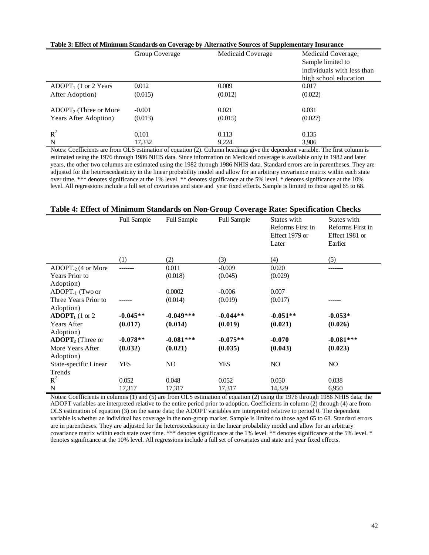|                               | Group Coverage | Medicaid Coverage | Medicaid Coverage;         |
|-------------------------------|----------------|-------------------|----------------------------|
|                               |                |                   | Sample limited to          |
|                               |                |                   | individuals with less than |
|                               |                |                   | high school education      |
| $ADOPT_1$ (1 or 2 Years)      | 0.012          | 0.009             | 0.017                      |
| After Adoption)               | (0.015)        | (0.012)           | (0.022)                    |
|                               |                |                   |                            |
| $ADOPT_2$ (Three or More      | $-0.001$       | 0.021             | 0.031                      |
| <b>Years After Adoption</b> ) | (0.013)        | (0.015)           | (0.027)                    |
|                               |                |                   |                            |
| $R^2$                         | 0.101          | 0.113             | 0.135                      |
| N                             | 17,332         | 9,224             | 3,986                      |

#### **Table 3: Effect of Minimum Standards on Coverage by Alternative Sources of Supplementary Insurance**

Notes: Coefficients are from OLS estimation of equation (2). Column headings give the dependent variable. The first column is estimated using the 1976 through 1986 NHIS data. Since information on Medicaid coverage is available only in 1982 and later years, the other two columns are estimated using the 1982 through 1986 NHIS data. Standard errors are in parentheses. They are adjusted for the heteroscedasticity in the linear probability model and allow for an arbitrary covariance matrix within each state over time. \*\*\* denotes significance at the 1% level. \*\* denotes significance at the 5% level. \* denotes significance at the 10% level. All regressions include a full set of covariates and state and year fixed effects. Sample is limited to those aged 65 to 68.

# **Table 4: Effect of Minimum Standards on Non-Group Coverage Rate: Specification Checks**

|                             | <b>Full Sample</b> | <b>Full Sample</b> | <b>Full Sample</b> | States with      | States with      |
|-----------------------------|--------------------|--------------------|--------------------|------------------|------------------|
|                             |                    |                    |                    | Reforms First in | Reforms First in |
|                             |                    |                    |                    | Effect 1979 or   | Effect 1981 or   |
|                             |                    |                    |                    | Later            | Earlier          |
|                             |                    |                    |                    |                  |                  |
|                             | (1)                | (2)                | (3)                | (4)              | (5)              |
| $ADOPT_{-2}$ (4 or More     |                    | 0.011              | $-0.009$           | 0.020            |                  |
| Years Prior to              |                    | (0.018)            | (0.045)            | (0.029)          |                  |
| Adoption)                   |                    |                    |                    |                  |                  |
| $ADOPT_{-1}$ (Two or        |                    | 0.0002             | $-0.006$           | 0.007            |                  |
| Three Years Prior to        |                    | (0.014)            | (0.019)            | (0.017)          |                  |
| Adoption)                   |                    |                    |                    |                  |                  |
| $\textbf{ADOPT}_1$ (1 or 2) | $-0.045**$         | $-0.049***$        | $-0.044**$         | $-0.051**$       | $-0.053*$        |
| <b>Years After</b>          | (0.017)            | (0.014)            | (0.019)            | (0.021)          | (0.026)          |
| Adoption)                   |                    |                    |                    |                  |                  |
| $\bf{ADOPT}_2$ (Three or    | $-0.078**$         | $-0.081***$        | $-0.075**$         | $-0.070$         | $-0.081***$      |
| More Years After            | (0.032)            | (0.021)            | (0.035)            | (0.043)          | (0.023)          |
| Adoption)                   |                    |                    |                    |                  |                  |
| State-specific Linear       | <b>YES</b>         | NO                 | YES                | NO.              | NO.              |
| Trends                      |                    |                    |                    |                  |                  |
| $R^2$                       | 0.052              | 0.048              | 0.052              | 0.050            | 0.038            |
| N                           | 17,317             | 17,317             | 17,317             | 14,329           | 6,950            |

Notes: Coefficients in columns (1) and (5) are from OLS estimation of equation (2) using the 1976 through 1986 NHIS data; the ADOPT variables are interpreted relative to the entire period prior to adoption. Coefficients in column (2) through (4) are from OLS estimation of equation (3) on the same data; the ADOPT variables are interpreted relative to period 0. The dependent variable is whether an individual has coverage in the non-group market. Sample is limited to those aged 65 to 68. Standard errors are in parentheses. They are adjusted for the heteroscedasticity in the linear probability model and allow for an arbitrary covariance matrix within each state over time. \*\*\* denotes significance at the 1% level. \*\* denotes significance at the 5% level. \* denotes significance at the 10% level. All regressions include a full set of covariates and state and year fixed effects.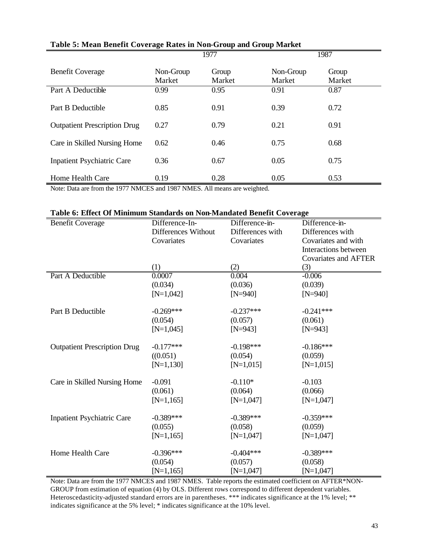|                                     |                     | 1977            | 1987                |                 |  |
|-------------------------------------|---------------------|-----------------|---------------------|-----------------|--|
| <b>Benefit Coverage</b>             | Non-Group<br>Market | Group<br>Market | Non-Group<br>Market | Group<br>Market |  |
| Part A Deductible                   | 0.99                | 0.95            | 0.91                | 0.87            |  |
| Part B Deductible                   | 0.85                | 0.91            | 0.39                | 0.72            |  |
| <b>Outpatient Prescription Drug</b> | 0.27                | 0.79            | 0.21                | 0.91            |  |
| Care in Skilled Nursing Home        | 0.62                | 0.46            | 0.75                | 0.68            |  |
| <b>Inpatient Psychiatric Care</b>   | 0.36                | 0.67            | 0.05                | 0.75            |  |
| Home Health Care                    | 0.19                | 0.28            | 0.05                | 0.53            |  |

# **Table 5: Mean Benefit Coverage Rates in Non-Group and Group Market**

Note: Data are from the 1977 NMCES and 1987 NMES. All means are weighted.

# **Table 6: Effect Of Minimum Standards on Non-Mandated Benefit Coverage**

| <b>Benefit Coverage</b>             | Difference-In-      | Difference-in-   | Difference-in-              |
|-------------------------------------|---------------------|------------------|-----------------------------|
|                                     | Differences Without | Differences with | Differences with            |
|                                     | Covariates          | Covariates       | Covariates and with         |
|                                     |                     |                  | Interactions between        |
|                                     |                     |                  | <b>Covariates and AFTER</b> |
|                                     | (1)                 | (2)              | (3)                         |
| Part A Deductible                   | 0.0007              | 0.004            | $-0.006$                    |
|                                     | (0.034)             | (0.036)          | (0.039)                     |
|                                     | $[N=1,042]$         | $[N=940]$        | $[N=940]$                   |
| Part B Deductible                   | $-0.269***$         | $-0.237***$      | $-0.241***$                 |
|                                     | (0.054)             | (0.057)          | (0.061)                     |
|                                     | $[N=1,045]$         | $[N=943]$        | $[N=943]$                   |
| <b>Outpatient Prescription Drug</b> | $-0.177***$         | $-0.198***$      | $-0.186***$                 |
|                                     | ((0.051)            | (0.054)          | (0.059)                     |
|                                     | $[N=1,130]$         | $[N=1,015]$      | $[N=1,015]$                 |
| Care in Skilled Nursing Home        | $-0.091$            | $-0.110*$        | $-0.103$                    |
|                                     | (0.061)             | (0.064)          | (0.066)                     |
|                                     | $[N=1,165]$         | $[N=1,047]$      | $[N=1,047]$                 |
| <b>Inpatient Psychiatric Care</b>   | $-0.389***$         | $-0.389***$      | $-0.359***$                 |
|                                     | (0.055)             | (0.058)          | (0.059)                     |
|                                     | $[N=1,165]$         | $[N=1,047]$      | $[N=1,047]$                 |
|                                     |                     |                  |                             |
| Home Health Care                    | $-0.396***$         | $-0.404***$      | $-0.389***$                 |
|                                     | (0.054)             | (0.057)          | (0.058)                     |
|                                     | $[N=1,165]$         | $[N=1,047]$      | $[N=1,047]$                 |

Note: Data are from the 1977 NMCES and 1987 NMES. Table reports the estimated coefficient on AFTER\*NON-GROUP from estimation of equation (4) by OLS. Different rows correspond to different dependent variables. Heteroscedasticity-adjusted standard errors are in parentheses. \*\*\* indicates significance at the 1% level; \*\* indicates significance at the 5% level; \* indicates significance at the 10% level.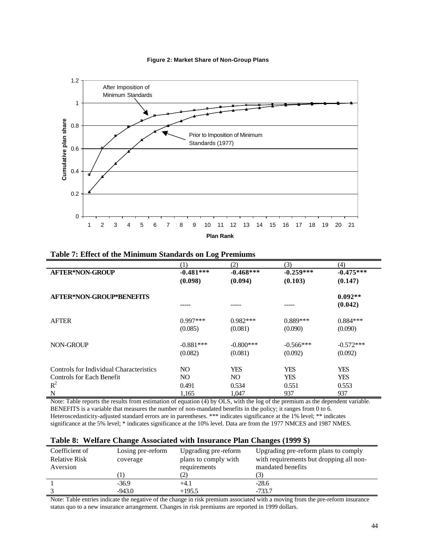

#### **Figure 2: Market Share of Non-Group Plans**

| Table 7: Effect of the Minimum Standards on Log Premiums |  |
|----------------------------------------------------------|--|
|                                                          |  |

|                                                                             | $\left(1\right)$       | (2)                    | (3)                      | (4)                      |
|-----------------------------------------------------------------------------|------------------------|------------------------|--------------------------|--------------------------|
| <b>AFTER*NON-GROUP</b>                                                      | $-0.481***$            | $-0.468***$            | $-0.259***$              | $-0.475***$              |
|                                                                             | (0.098)                | (0.094)                | (0.103)                  | (0.147)                  |
| <b>AFTER*NON-GROUP*BENEFITS</b>                                             |                        |                        |                          | $0.092**$<br>(0.042)     |
| <b>AFTER</b>                                                                | $0.997***$<br>(0.085)  | $0.982***$<br>(0.081)  | $0.889***$<br>(0.090)    | $0.884***$<br>(0.090)    |
| <b>NON-GROUP</b>                                                            | $-0.881***$<br>(0.082) | $-0.800***$<br>(0.081) | $-0.566***$<br>(0.092)   | $-0.572***$<br>(0.092)   |
| Controls for Individual Characteristics<br><b>Controls for Each Benefit</b> | NO.<br>NO.             | <b>YES</b><br>NO.      | <b>YES</b><br><b>YES</b> | <b>YES</b><br><b>YES</b> |
| $R^2$                                                                       | 0.491                  | 0.534                  | 0.551                    | 0.553                    |
| N                                                                           | 1,165                  | 1,047                  | 937                      | 937                      |

Note: Table reports the results from estimation of equation (4) by OLS, with the log of the premium as the dependent variable. BENEFITS is a variable that measures the number of non-mandated benefits in the policy; it ranges from 0 to 6. Heteroscedasticity-adjusted standard errors are in parentheses. \*\*\* indicates significance at the 1% level; \*\* indicates significance at the 5% level; \* indicates significance at the 10% level. Data are from the 1977 NMCES and 1987 NMES.

|  |  | Table 8: Welfare Change Associated with Insurance Plan Changes (1999 \$) |
|--|--|--------------------------------------------------------------------------|
|  |  |                                                                          |

| Coefficient of       | Losing pre-reform | Upgrading pre-reform | Upgrading pre-reform plans to comply    |
|----------------------|-------------------|----------------------|-----------------------------------------|
| <b>Relative Risk</b> | coverage          | plans to comply with | with requirements but dropping all non- |
| Aversion             |                   | requirements         | mandated benefits                       |
|                      |                   |                      | ( گ                                     |
|                      | $-36.9$           | $+4.1$               | $-28.6$                                 |
|                      | $-943.0$          | $+195.5$             | $-733.7$                                |

Note: Table entries indicate the negative of the change in risk premium associated with a moving from the pre-reform insurance status quo to a new insurance arrangement. Changes in risk premiums are reported in 1999 dollars.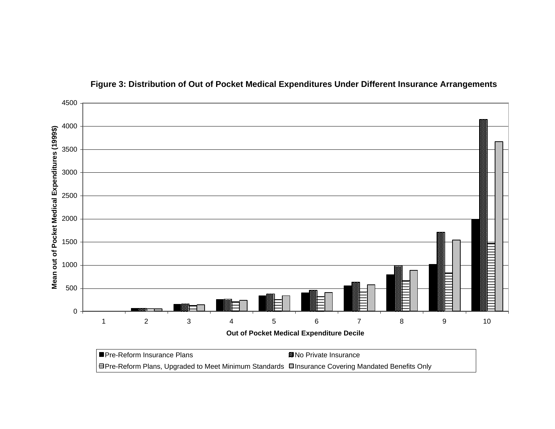

**Figure 3: Distribution of Out of Pocket Medical Expenditures Under Different Insurance Arrangements**

**EPre-Reform Plans, Upgraded to Meet Minimum Standards □Insurance Covering Mandated Benefits Only**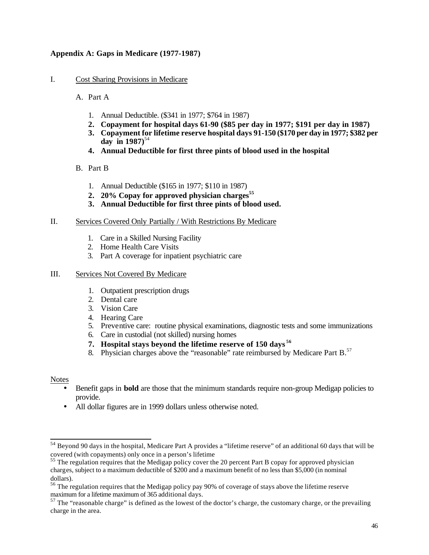# **Appendix A: Gaps in Medicare (1977-1987)**

- I. Cost Sharing Provisions in Medicare
	- A. Part A
		- 1. Annual Deductible. (\$341 in 1977; \$764 in 1987)
		- **2. Copayment for hospital days 61-90 (\$85 per day in 1977; \$191 per day in 1987)**
		- **3. Copayment for lifetime reserve hospital days 91-150 (\$170 per day in 1977; \$382 per**  day in  $1987$ <sup>54</sup>
		- **4. Annual Deductible for first three pints of blood used in the hospital**
	- B. Part B
		- 1. Annual Deductible (\$165 in 1977; \$110 in 1987)
		- **2. 20% Copay for approved physician charges<sup>55</sup>**
		- **3. Annual Deductible for first three pints of blood used.**
- II. Services Covered Only Partially / With Restrictions By Medicare
	- 1. Care in a Skilled Nursing Facility
	- 2. Home Health Care Visits
	- 3. Part A coverage for inpatient psychiatric care

# III. Services Not Covered By Medicare

- 1. Outpatient prescription drugs
- 2. Dental care
- 3. Vision Care
- 4. Hearing Care
- 5. Preventive care: routine physical examinations, diagnostic tests and some immunizations
- 6. Care in custodial (not skilled) nursing homes
- **7. Hospital stays beyond the lifetime reserve of 150 days <sup>56</sup>**
- 8. Physician charges above the "reasonable" rate reimbursed by Medicare Part B.<sup>57</sup>

# Notes

- Benefit gaps in **bold** are those that the minimum standards require non-group Medigap policies to provide.
- All dollar figures are in 1999 dollars unless otherwise noted.

 $54$  Beyond 90 days in the hospital, Medicare Part A provides a "lifetime reserve" of an additional 60 days that will be covered (with copayments) only once in a person's lifetime

<sup>&</sup>lt;sup>55</sup> The regulation requires that the Medigap policy cover the 20 percent Part B copay for approved physician charges, subject to a maximum deductible of \$200 and a maximum benefit of no less than \$5,000 (in nominal dollars).

<sup>&</sup>lt;sup>56</sup> The regulation requires that the Medigap policy pay 90% of coverage of stays above the lifetime reserve maximum for a lifetime maximum of 365 additional days.

 $57$  The "reasonable charge" is defined as the lowest of the doctor's charge, the customary charge, or the prevailing charge in the area.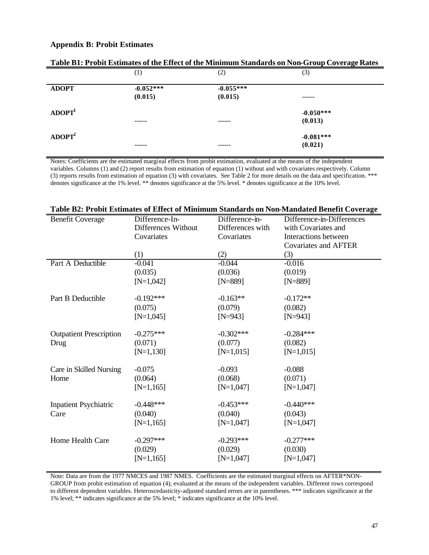# **Appendix B: Probit Estimates**

|                    |                        |                        | $\sim$ $\cdot$<br>$\sim$ $\sim$ $\sim$ $\sim$ $\sim$ $\sim$ $\sim$ |  |
|--------------------|------------------------|------------------------|--------------------------------------------------------------------|--|
|                    | $\left(1\right)$       | (2)                    | (3)                                                                |  |
| <b>ADOPT</b>       | $-0.052***$<br>(0.015) | $-0.055***$<br>(0.015) | ------                                                             |  |
| $\bf ADOPT^1$      | ------                 | -----                  | $-0.050***$<br>(0.013)                                             |  |
| ADOPT <sup>2</sup> | -------                | ------                 | $-0.081***$<br>(0.021)                                             |  |

|  |  |  |  |  | Table B1: Probit Estimates of the Effect of the Minimum Standards on Non-Group Coverage Rates |  |
|--|--|--|--|--|-----------------------------------------------------------------------------------------------|--|
|  |  |  |  |  |                                                                                               |  |

Notes: Coefficients are the estimated marginal effects from probit estimation, evaluated at the means of the independent variables. Columns (1) and (2) report results from estimation of equation (1) without and with covariates respectively. Column (3) reports results from estimation of equation (3) with covariates. See Table 2 for more details on the data and specification. \*\*\* denotes significance at the 1% level. \*\* denotes significance at the 5% level. \* denotes significance at the 10% level.

| <b>Benefit Coverage</b>        | Difference-In-<br>Differences Without | Difference-in-<br>Differences with | Difference-in-Differences<br>with Covariates and |
|--------------------------------|---------------------------------------|------------------------------------|--------------------------------------------------|
|                                | Covariates                            | Covariates                         | Interactions between                             |
|                                | (1)                                   | (2)                                | <b>Covariates and AFTER</b><br>(3)               |
| Part A Deductible              | $-0.041$                              | $-0.044$                           | $-0.016$                                         |
|                                | (0.035)                               | (0.036)                            | (0.019)                                          |
|                                | $[N=1,042]$                           | $[N=889]$                          | $[N=889]$                                        |
| Part B Deductible              | $-0.192***$                           | $-0.163**$                         | $-0.172**$                                       |
|                                | (0.075)                               | (0.079)                            | (0.082)                                          |
|                                | $[N=1,045]$                           | $[N=943]$                          | $[N=943]$                                        |
| <b>Outpatient Prescription</b> | $-0.275***$                           | $-0.302***$                        | $-0.284***$                                      |
| Drug                           | (0.071)                               | (0.077)                            | (0.082)                                          |
|                                | $[N=1,130]$                           | $[N=1,015]$                        | $[N=1,015]$                                      |
| Care in Skilled Nursing        | $-0.075$                              | $-0.093$                           | $-0.088$                                         |
| Home                           | (0.064)                               | (0.068)                            | (0.071)                                          |
|                                | $[N=1,165]$                           | $[N=1,047]$                        | $[N=1,047]$                                      |
| <b>Inpatient Psychiatric</b>   | $-0.448***$                           | $-0.453***$                        | $-0.440***$                                      |
| Care                           | (0.040)                               | (0.040)                            | (0.043)                                          |
|                                | $[N=1,165]$                           | $[N=1,047]$                        | $[N=1,047]$                                      |
| Home Health Care               | $-0.297***$                           | $-0.293***$                        | $-0.277***$                                      |
|                                | (0.029)                               | (0.029)                            | (0.030)                                          |
|                                | $[N=1,165]$                           | $[N=1,047]$                        | $[N=1,047]$                                      |
|                                |                                       |                                    |                                                  |

| Table B2: Probit Estimates of Effect of Minimum Standards on Non-Mandated Benefit Coverage |  |
|--------------------------------------------------------------------------------------------|--|
|--------------------------------------------------------------------------------------------|--|

Note: Data are from the 1977 NMCES and 1987 NMES. Coefficients are the estimated marginal effects on AFTER\*NON-GROUP from probit estimation of equation (4), evaluated at the means of the independent variables. Different rows correspond to different dependent variables. Heteroscedasticity-adjusted standard errors are in parentheses. \*\*\* indicates significance at the 1% level; \*\* indicates significance at the 5% level; \* indicates significance at the 10% level.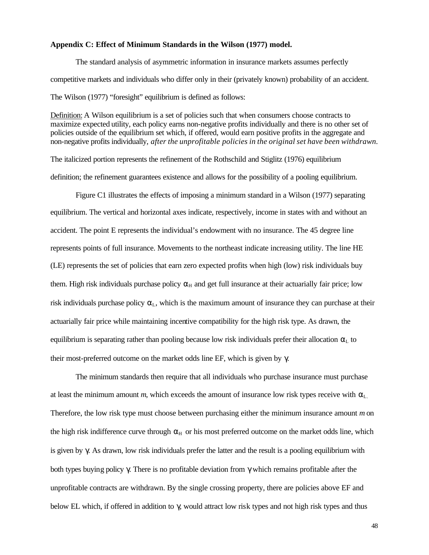#### **Appendix C: Effect of Minimum Standards in the Wilson (1977) model.**

The standard analysis of asymmetric information in insurance markets assumes perfectly competitive markets and individuals who differ only in their (privately known) probability of an accident. The Wilson (1977) "foresight" equilibrium is defined as follows:

Definition: A Wilson equilibrium is a set of policies such that when consumers choose contracts to maximize expected utility, each policy earns non-negative profits individually and there is no other set of policies outside of the equilibrium set which, if offered, would earn positive profits in the aggregate and non-negative profits individually, *after the unprofitable policies in the original set have been withdrawn.*

The italicized portion represents the refinement of the Rothschild and Stiglitz (1976) equilibrium definition; the refinement guarantees existence and allows for the possibility of a pooling equilibrium.

Figure C1 illustrates the effects of imposing a minimum standard in a Wilson (1977) separating equilibrium. The vertical and horizontal axes indicate, respectively, income in states with and without an accident. The point E represents the individual's endowment with no insurance. The 45 degree line represents points of full insurance. Movements to the northeast indicate increasing utility. The line HE (LE) represents the set of policies that earn zero expected profits when high (low) risk individuals buy them. High risk individuals purchase policy  $\alpha_H$  and get full insurance at their actuarially fair price; low risk individuals purchase policy  $\alpha_{\text{L}}$ , which is the maximum amount of insurance they can purchase at their actuarially fair price while maintaining incentive compatibility for the high risk type. As drawn, the equilibrium is separating rather than pooling because low risk individuals prefer their allocation  $\alpha_L$  to their most-preferred outcome on the market odds line EF, which is given by γ.

The minimum standards then require that all individuals who purchase insurance must purchase at least the minimum amount *m*, which exceeds the amount of insurance low risk types receive with  $\alpha_{\text{L}}$ . Therefore, the low risk type must choose between purchasing either the minimum insurance amount *m* on the high risk indifference curve through  $\alpha_H$  or his most preferred outcome on the market odds line, which is given by γ. As drawn, low risk individuals prefer the latter and the result is a pooling equilibrium with both types buying policy γ. There is no profitable deviation from γ which remains profitable after the unprofitable contracts are withdrawn. By the single crossing property, there are policies above EF and below EL which, if offered in addition to γ, would attract low risk types and not high risk types and thus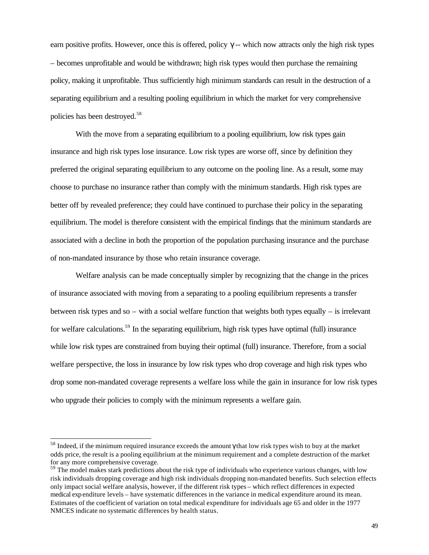earn positive profits. However, once this is offered, policy  $\gamma$ -- which now attracts only the high risk types – becomes unprofitable and would be withdrawn; high risk types would then purchase the remaining policy, making it unprofitable. Thus sufficiently high minimum standards can result in the destruction of a separating equilibrium and a resulting pooling equilibrium in which the market for very comprehensive policies has been destroyed.<sup>58</sup>

With the move from a separating equilibrium to a pooling equilibrium, low risk types gain insurance and high risk types lose insurance. Low risk types are worse off, since by definition they preferred the original separating equilibrium to any outcome on the pooling line. As a result, some may choose to purchase no insurance rather than comply with the minimum standards. High risk types are better off by revealed preference; they could have continued to purchase their policy in the separating equilibrium. The model is therefore consistent with the empirical findings that the minimum standards are associated with a decline in both the proportion of the population purchasing insurance and the purchase of non-mandated insurance by those who retain insurance coverage.

Welfare analysis can be made conceptually simpler by recognizing that the change in the prices of insurance associated with moving from a separating to a pooling equilibrium represents a transfer between risk types and so – with a social welfare function that weights both types equally – is irrelevant for welfare calculations.<sup>59</sup> In the separating equilibrium, high risk types have optimal (full) insurance while low risk types are constrained from buying their optimal (full) insurance. Therefore, from a social welfare perspective, the loss in insurance by low risk types who drop coverage and high risk types who drop some non-mandated coverage represents a welfare loss while the gain in insurance for low risk types who upgrade their policies to comply with the minimum represents a welfare gain.

<sup>&</sup>lt;sup>58</sup> Indeed, if the minimum required insurance exceeds the amount  $\gamma$  that low risk types wish to buy at the market odds price, the result is a pooling equilibrium at the minimum requirement and a complete destruction of the market for any more comprehensive coverage.

<sup>&</sup>lt;sup>59</sup> The model makes stark predictions about the risk type of individuals who experience various changes, with low risk individuals dropping coverage and high risk individuals dropping non-mandated benefits. Such selection effects only impact social welfare analysis, however, if the different risk types – which reflect differences in expected medical expenditure levels – have systematic differences in the variance in medical expenditure around its mean. Estimates of the coefficient of variation on total medical expenditure for individuals age 65 and older in the 1977 NMCES indicate no systematic differences by health status.